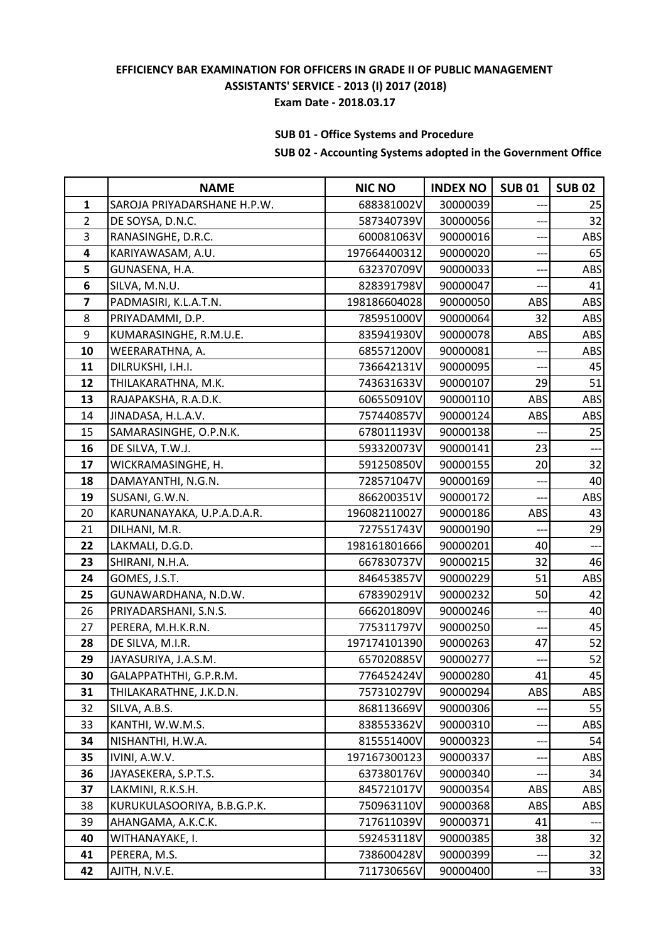# **SUB 01 - Office Systems and Procedure**

|                | <b>NAME</b>                 | <b>NIC NO</b> | <b>INDEX NO</b> | <b>SUB01</b> | <b>SUB 02</b> |
|----------------|-----------------------------|---------------|-----------------|--------------|---------------|
| $\mathbf{1}$   | SAROJA PRIYADARSHANE H.P.W. | 688381002V    | 30000039        |              | 25            |
| $\overline{2}$ | DE SOYSA, D.N.C.            | 587340739V    | 30000056        |              | 32            |
| 3              | RANASINGHE, D.R.C.          | 600081063V    | 90000016        | $--$         | ABS           |
| 4              | KARIYAWASAM, A.U.           | 197664400312  | 90000020        |              | 65            |
| 5              | GUNASENA, H.A.              | 632370709V    | 90000033        | ÷            | ABS           |
| 6              | SILVA, M.N.U.               | 828391798V    | 90000047        |              | 41            |
| $\overline{7}$ | PADMASIRI, K.L.A.T.N.       | 198186604028  | 90000050        | ABS          | ABS           |
| 8              | PRIYADAMMI, D.P.            | 785951000V    | 90000064        | 32           | ABS           |
| 9              | KUMARASINGHE, R.M.U.E.      | 835941930V    | 90000078        | ABS          | ABS           |
| 10             | WEERARATHNA, A.             | 685571200V    | 90000081        | $--$         | ABS           |
| 11             | DILRUKSHI, I.H.I.           | 736642131V    | 90000095        |              | 45            |
| 12             | THILAKARATHNA, M.K.         | 743631633V    | 90000107        | 29           | 51            |
| 13             | RAJAPAKSHA, R.A.D.K.        | 606550910V    | 90000110        | ABS          | ABS           |
| 14             | JINADASA, H.L.A.V.          | 757440857V    | 90000124        | ABS          | ABS           |
| 15             | SAMARASINGHE, O.P.N.K.      | 678011193V    | 90000138        |              | 25            |
| 16             | DE SILVA, T.W.J.            | 593320073V    | 90000141        | 23           | ---           |
| 17             | WICKRAMASINGHE, H.          | 591250850V    | 90000155        | 20           | 32            |
| 18             | DAMAYANTHI, N.G.N.          | 728571047V    | 90000169        |              | 40            |
| 19             | SUSANI, G.W.N.              | 866200351V    | 90000172        |              | ABS           |
| 20             | KARUNANAYAKA, U.P.A.D.A.R.  | 196082110027  | 90000186        | ABS          | 43            |
| 21             | DILHANI, M.R.               | 727551743V    | 90000190        |              | 29            |
| 22             | LAKMALI, D.G.D.             | 198161801666  | 90000201        | 40           | ---           |
| 23             | SHIRANI, N.H.A.             | 667830737V    | 90000215        | 32           | 46            |
| 24             | GOMES, J.S.T.               | 846453857V    | 90000229        | 51           | ABS           |
| 25             | GUNAWARDHANA, N.D.W.        | 678390291V    | 90000232        | 50           | 42            |
| 26             | PRIYADARSHANI, S.N.S.       | 666201809V    | 90000246        |              | 40            |
| 27             | PERERA, M.H.K.R.N.          | 775311797V    | 90000250        | $---$        | 45            |
| 28             | DE SILVA, M.I.R.            | 197174101390  | 90000263        | 47           | 52            |
| 29             | JAYASURIYA, J.A.S.M.        | 657020885V    | 90000277        | ---          | 52            |
| 30             | GALAPPATHTHI, G.P.R.M.      | 776452424V    | 90000280        | 41           | 45            |
| 31             | THILAKARATHNE, J.K.D.N.     | 757310279V    | 90000294        | ABS          | <b>ABS</b>    |
| 32             | SILVA, A.B.S.               | 868113669V    | 90000306        |              | 55            |
| 33             | KANTHI, W.W.M.S.            | 838553362V    | 90000310        | ---          | ABS           |
| 34             | NISHANTHI, H.W.A.           | 815551400V    | 90000323        |              | 54            |
| 35             | IVINI, A.W.V.               | 197167300123  | 90000337        |              | ABS           |
| 36             | JAYASEKERA, S.P.T.S.        | 637380176V    | 90000340        |              | 34            |
| 37             | LAKMINI, R.K.S.H.           | 845721017V    | 90000354        | ABS          | ABS           |
| 38             | KURUKULASOORIYA, B.B.G.P.K. | 750963110V    | 90000368        | ABS          | ABS           |
| 39             | AHANGAMA, A.K.C.K.          | 717611039V    | 90000371        | 41           |               |
| 40             | WITHANAYAKE, I.             | 592453118V    | 90000385        | 38           | 32            |
| 41             | PERERA, M.S.                | 738600428V    | 90000399        | ---          | 32            |
| 42             | AJITH, N.V.E.               | 711730656V    | 90000400        | ---          | 33            |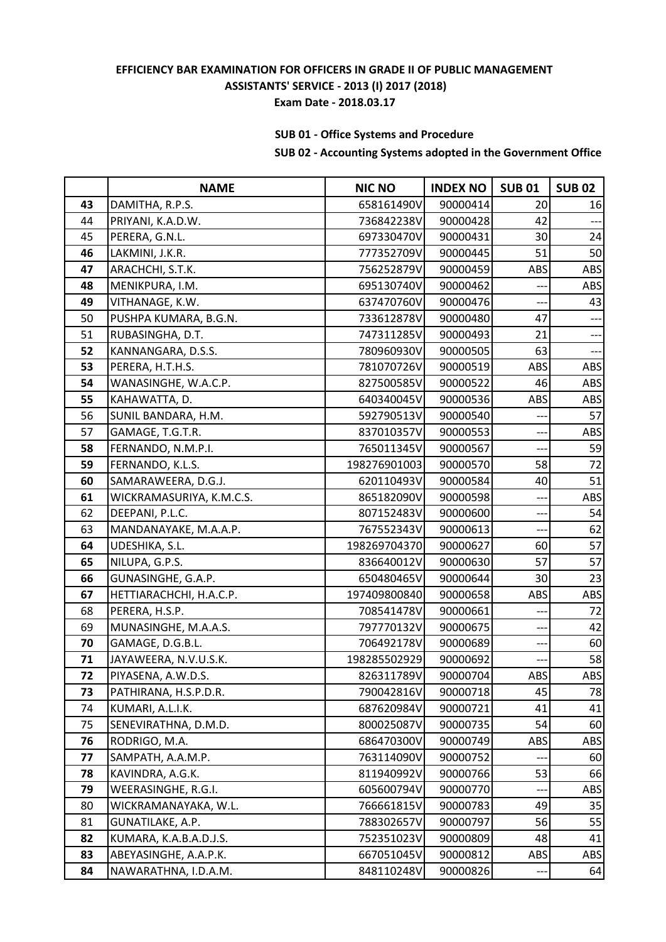# **SUB 01 - Office Systems and Procedure**

|    | <b>NAME</b>              | <b>NIC NO</b> | <b>INDEX NO</b> | <b>SUB01</b> | <b>SUB 02</b>            |
|----|--------------------------|---------------|-----------------|--------------|--------------------------|
| 43 | DAMITHA, R.P.S.          | 658161490V    | 90000414        | 20           | 16                       |
| 44 | PRIYANI, K.A.D.W.        | 736842238V    | 90000428        | 42           |                          |
| 45 | PERERA, G.N.L.           | 697330470V    | 90000431        | 30           | 24                       |
| 46 | LAKMINI, J.K.R.          | 777352709V    | 90000445        | 51           | 50                       |
| 47 | ARACHCHI, S.T.K.         | 756252879V    | 90000459        | ABS          | ABS                      |
| 48 | MENIKPURA, I.M.          | 695130740V    | 90000462        |              | ABS                      |
| 49 | VITHANAGE, K.W.          | 637470760V    | 90000476        |              | 43                       |
| 50 | PUSHPA KUMARA, B.G.N.    | 733612878V    | 90000480        | 47           | ---                      |
| 51 | RUBASINGHA, D.T.         | 747311285V    | 90000493        | 21           | ---                      |
| 52 | KANNANGARA, D.S.S.       | 780960930V    | 90000505        | 63           | $\overline{\phantom{a}}$ |
| 53 | PERERA, H.T.H.S.         | 781070726V    | 90000519        | ABS          | <b>ABS</b>               |
| 54 | WANASINGHE, W.A.C.P.     | 827500585V    | 90000522        | 46           | <b>ABS</b>               |
| 55 | KAHAWATTA, D.            | 640340045V    | 90000536        | ABS          | <b>ABS</b>               |
| 56 | SUNIL BANDARA, H.M.      | 592790513V    | 90000540        |              | 57                       |
| 57 | GAMAGE, T.G.T.R.         | 837010357V    | 90000553        | $---$        | ABS                      |
| 58 | FERNANDO, N.M.P.I.       | 765011345V    | 90000567        | ---          | 59                       |
| 59 | FERNANDO, K.L.S.         | 198276901003  | 90000570        | 58           | 72                       |
| 60 | SAMARAWEERA, D.G.J.      | 620110493V    | 90000584        | 40           | 51                       |
| 61 | WICKRAMASURIYA, K.M.C.S. | 865182090V    | 90000598        |              | ABS                      |
| 62 | DEEPANI, P.L.C.          | 807152483V    | 90000600        | ---          | 54                       |
| 63 | MANDANAYAKE, M.A.A.P.    | 767552343V    | 90000613        | ---          | 62                       |
| 64 | UDESHIKA, S.L.           | 198269704370  | 90000627        | 60           | 57                       |
| 65 | NILUPA, G.P.S.           | 836640012V    | 90000630        | 57           | 57                       |
| 66 | GUNASINGHE, G.A.P.       | 650480465V    | 90000644        | 30           | 23                       |
| 67 | HETTIARACHCHI, H.A.C.P.  | 197409800840  | 90000658        | ABS          | ABS                      |
| 68 | PERERA, H.S.P.           | 708541478V    | 90000661        |              | 72                       |
| 69 | MUNASINGHE, M.A.A.S.     | 797770132V    | 90000675        |              | 42                       |
| 70 | GAMAGE, D.G.B.L.         | 706492178V    | 90000689        | ---          | 60                       |
| 71 | JAYAWEERA, N.V.U.S.K.    | 198285502929  | 90000692        | ---          | 58                       |
| 72 | PIYASENA, A.W.D.S.       | 826311789V    | 90000704        | ABS          | ABS                      |
| 73 | PATHIRANA, H.S.P.D.R.    | 790042816V    | 90000718        | 45           | 78                       |
| 74 | KUMARI, A.L.I.K.         | 687620984V    | 90000721        | 41           | 41                       |
| 75 | SENEVIRATHNA, D.M.D.     | 800025087V    | 90000735        | 54           | 60                       |
| 76 | RODRIGO, M.A.            | 686470300V    | 90000749        | ABS          | ABS                      |
| 77 | SAMPATH, A.A.M.P.        | 763114090V    | 90000752        |              | 60                       |
| 78 | KAVINDRA, A.G.K.         | 811940992V    | 90000766        | 53           | 66                       |
| 79 | WEERASINGHE, R.G.I.      | 605600794V    | 90000770        |              | ABS                      |
| 80 | WICKRAMANAYAKA, W.L.     | 766661815V    | 90000783        | 49           | 35                       |
| 81 | GUNATILAKE, A.P.         | 788302657V    | 90000797        | 56           | 55                       |
| 82 | KUMARA, K.A.B.A.D.J.S.   | 752351023V    | 90000809        | 48           | 41                       |
| 83 | ABEYASINGHE, A.A.P.K.    | 667051045V    | 90000812        | ABS          | ABS                      |
| 84 | NAWARATHNA, I.D.A.M.     | 848110248V    | 90000826        | ---          | 64                       |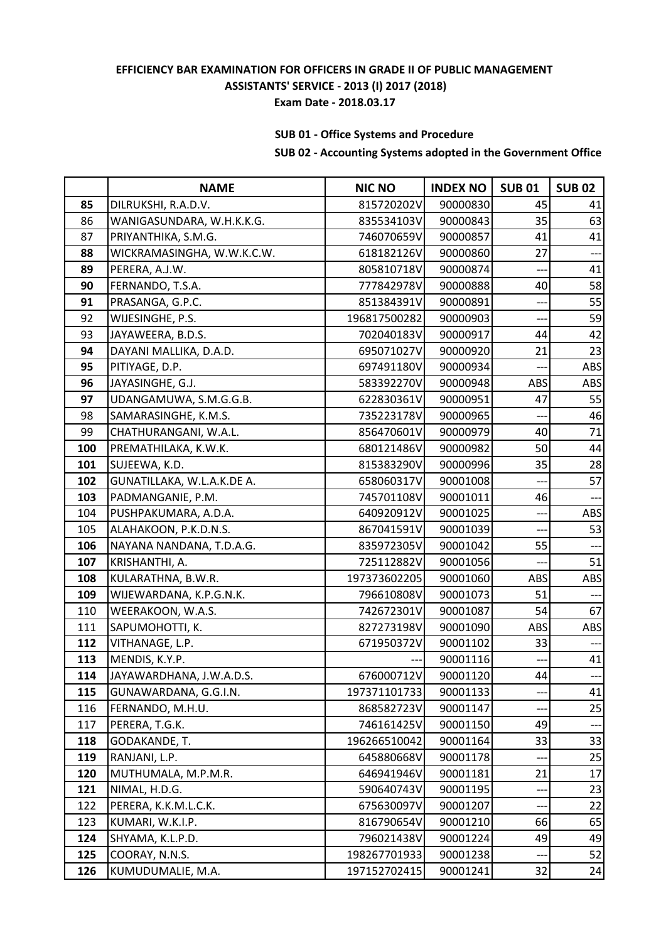# **SUB 01 - Office Systems and Procedure**

|     | <b>NAME</b>                | <b>NIC NO</b> | <b>INDEX NO</b> | <b>SUB01</b> | <b>SUB 02</b> |
|-----|----------------------------|---------------|-----------------|--------------|---------------|
| 85  | DILRUKSHI, R.A.D.V.        | 815720202V    | 90000830        | 45           | 41            |
| 86  | WANIGASUNDARA, W.H.K.K.G.  | 835534103V    | 90000843        | 35           | 63            |
| 87  | PRIYANTHIKA, S.M.G.        | 746070659V    | 90000857        | 41           | 41            |
| 88  | WICKRAMASINGHA, W.W.K.C.W. | 618182126V    | 90000860        | 27           | ---           |
| 89  | PERERA, A.J.W.             | 805810718V    | 90000874        | ---          | 41            |
| 90  | FERNANDO, T.S.A.           | 777842978V    | 90000888        | 40           | 58            |
| 91  | PRASANGA, G.P.C.           | 851384391V    | 90000891        |              | 55            |
| 92  | WIJESINGHE, P.S.           | 196817500282  | 90000903        |              | 59            |
| 93  | JAYAWEERA, B.D.S.          | 702040183V    | 90000917        | 44           | 42            |
| 94  | DAYANI MALLIKA, D.A.D.     | 695071027V    | 90000920        | 21           | 23            |
| 95  | PITIYAGE, D.P.             | 697491180V    | 90000934        |              | ABS           |
| 96  | JAYASINGHE, G.J.           | 583392270V    | 90000948        | ABS          | ABS           |
| 97  | UDANGAMUWA, S.M.G.G.B.     | 622830361V    | 90000951        | 47           | 55            |
| 98  | SAMARASINGHE, K.M.S.       | 735223178V    | 90000965        |              | 46            |
| 99  | CHATHURANGANI, W.A.L.      | 856470601V    | 90000979        | 40           | 71            |
| 100 | PREMATHILAKA, K.W.K.       | 680121486V    | 90000982        | 50           | 44            |
| 101 | SUJEEWA, K.D.              | 815383290V    | 90000996        | 35           | 28            |
| 102 | GUNATILLAKA, W.L.A.K.DE A. | 658060317V    | 90001008        |              | 57            |
| 103 | PADMANGANIE, P.M.          | 745701108V    | 90001011        | 46           | --            |
| 104 | PUSHPAKUMARA, A.D.A.       | 640920912V    | 90001025        | ---          | ABS           |
| 105 | ALAHAKOON, P.K.D.N.S.      | 867041591V    | 90001039        | ---          | 53            |
| 106 | NAYANA NANDANA, T.D.A.G.   | 835972305V    | 90001042        | 55           |               |
| 107 | KRISHANTHI, A.             | 725112882V    | 90001056        | $---$        | 51            |
| 108 | KULARATHNA, B.W.R.         | 197373602205  | 90001060        | ABS          | ABS           |
| 109 | WIJEWARDANA, K.P.G.N.K.    | 796610808V    | 90001073        | 51           |               |
| 110 | WEERAKOON, W.A.S.          | 742672301V    | 90001087        | 54           | 67            |
| 111 | SAPUMOHOTTI, K.            | 827273198V    | 90001090        | ABS          | ABS           |
| 112 | VITHANAGE, L.P.            | 671950372V    | 90001102        | 33           | ---           |
| 113 | MENDIS, K.Y.P.             |               | 90001116        | ---          | 41            |
| 114 | JAYAWARDHANA, J.W.A.D.S.   | 676000712V    | 90001120        | 44           |               |
| 115 | GUNAWARDANA, G.G.I.N.      | 197371101733  | 90001133        |              | 41            |
| 116 | FERNANDO, M.H.U.           | 868582723V    | 90001147        |              | 25            |
| 117 | PERERA, T.G.K.             | 746161425V    | 90001150        | 49           |               |
| 118 | GODAKANDE, T.              | 196266510042  | 90001164        | 33           | 33            |
| 119 | RANJANI, L.P.              | 645880668V    | 90001178        |              | 25            |
| 120 | MUTHUMALA, M.P.M.R.        | 646941946V    | 90001181        | 21           | 17            |
| 121 | NIMAL, H.D.G.              | 590640743V    | 90001195        |              | 23            |
| 122 | PERERA, K.K.M.L.C.K.       | 675630097V    | 90001207        |              | 22            |
| 123 | KUMARI, W.K.I.P.           | 816790654V    | 90001210        | 66           | 65            |
| 124 | SHYAMA, K.L.P.D.           | 796021438V    | 90001224        | 49           | 49            |
| 125 | COORAY, N.N.S.             | 198267701933  | 90001238        |              | 52            |
| 126 | KUMUDUMALIE, M.A.          | 197152702415  | 90001241        | 32           | 24            |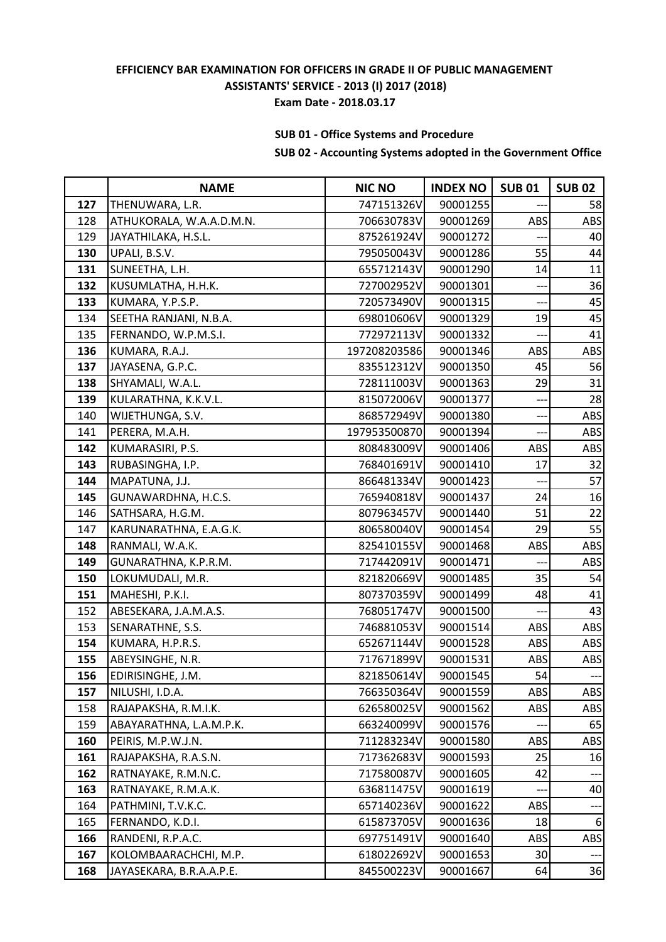# **SUB 01 - Office Systems and Procedure**

|     | <b>NAME</b>              | <b>NIC NO</b> | <b>INDEX NO</b> | <b>SUB01</b> | <b>SUB 02</b> |
|-----|--------------------------|---------------|-----------------|--------------|---------------|
| 127 | THENUWARA, L.R.          | 747151326V    | 90001255        |              | 58            |
| 128 | ATHUKORALA, W.A.A.D.M.N. | 706630783V    | 90001269        | ABS          | ABS           |
| 129 | JAYATHILAKA, H.S.L.      | 875261924V    | 90001272        |              | 40            |
| 130 | UPALI, B.S.V.            | 795050043V    | 90001286        | 55           | 44            |
| 131 | SUNEETHA, L.H.           | 655712143V    | 90001290        | 14           | 11            |
| 132 | KUSUMLATHA, H.H.K.       | 727002952V    | 90001301        | $---$        | 36            |
| 133 | KUMARA, Y.P.S.P.         | 720573490V    | 90001315        |              | 45            |
| 134 | SEETHA RANJANI, N.B.A.   | 698010606V    | 90001329        | 19           | 45            |
| 135 | FERNANDO, W.P.M.S.I.     | 772972113V    | 90001332        |              | 41            |
| 136 | KUMARA, R.A.J.           | 197208203586  | 90001346        | ABS          | ABS           |
| 137 | JAYASENA, G.P.C.         | 835512312V    | 90001350        | 45           | 56            |
| 138 | SHYAMALI, W.A.L.         | 728111003V    | 90001363        | 29           | 31            |
| 139 | KULARATHNA, K.K.V.L.     | 815072006V    | 90001377        |              | 28            |
| 140 | WIJETHUNGA, S.V.         | 868572949V    | 90001380        |              | ABS           |
| 141 | PERERA, M.A.H.           | 197953500870  | 90001394        | ---          | ABS           |
| 142 | KUMARASIRI, P.S.         | 808483009V    | 90001406        | ABS          | <b>ABS</b>    |
| 143 | RUBASINGHA, I.P.         | 768401691V    | 90001410        | 17           | 32            |
| 144 | MAPATUNA, J.J.           | 866481334V    | 90001423        |              | 57            |
| 145 | GUNAWARDHNA, H.C.S.      | 765940818V    | 90001437        | 24           | 16            |
| 146 | SATHSARA, H.G.M.         | 807963457V    | 90001440        | 51           | 22            |
| 147 | KARUNARATHNA, E.A.G.K.   | 806580040V    | 90001454        | 29           | 55            |
| 148 | RANMALI, W.A.K.          | 825410155V    | 90001468        | ABS          | <b>ABS</b>    |
| 149 | GUNARATHNA, K.P.R.M.     | 717442091V    | 90001471        |              | ABS           |
| 150 | LOKUMUDALI, M.R.         | 821820669V    | 90001485        | 35           | 54            |
| 151 | MAHESHI, P.K.I.          | 807370359V    | 90001499        | 48           | 41            |
| 152 | ABESEKARA, J.A.M.A.S.    | 768051747V    | 90001500        |              | 43            |
| 153 | SENARATHNE, S.S.         | 746881053V    | 90001514        | ABS          | ABS           |
| 154 | KUMARA, H.P.R.S.         | 652671144V    | 90001528        | ABS          | ABS           |
| 155 | ABEYSINGHE, N.R.         | 717671899V    | 90001531        | ABS          | ABS           |
| 156 | EDIRISINGHE, J.M.        | 821850614V    | 90001545        | 54           |               |
| 157 | NILUSHI, I.D.A.          | 766350364V    | 90001559        | ABS          | <b>ABS</b>    |
| 158 | RAJAPAKSHA, R.M.I.K.     | 626580025V    | 90001562        | ABS          | <b>ABS</b>    |
| 159 | ABAYARATHNA, L.A.M.P.K.  | 663240099V    | 90001576        |              | 65            |
| 160 | PEIRIS, M.P.W.J.N.       | 711283234V    | 90001580        | ABS          | ABS           |
| 161 | RAJAPAKSHA, R.A.S.N.     | 717362683V    | 90001593        | 25           | 16            |
| 162 | RATNAYAKE, R.M.N.C.      | 717580087V    | 90001605        | 42           |               |
| 163 | RATNAYAKE, R.M.A.K.      | 636811475V    | 90001619        |              | 40            |
| 164 | PATHMINI, T.V.K.C.       | 657140236V    | 90001622        | ABS          |               |
| 165 | FERNANDO, K.D.I.         | 615873705V    | 90001636        | 18           | 6             |
| 166 | RANDENI, R.P.A.C.        | 697751491V    | 90001640        | ABS          | ABS           |
| 167 | KOLOMBAARACHCHI, M.P.    | 618022692V    | 90001653        | 30           | $---$         |
| 168 | JAYASEKARA, B.R.A.A.P.E. | 845500223V    | 90001667        | 64           | 36            |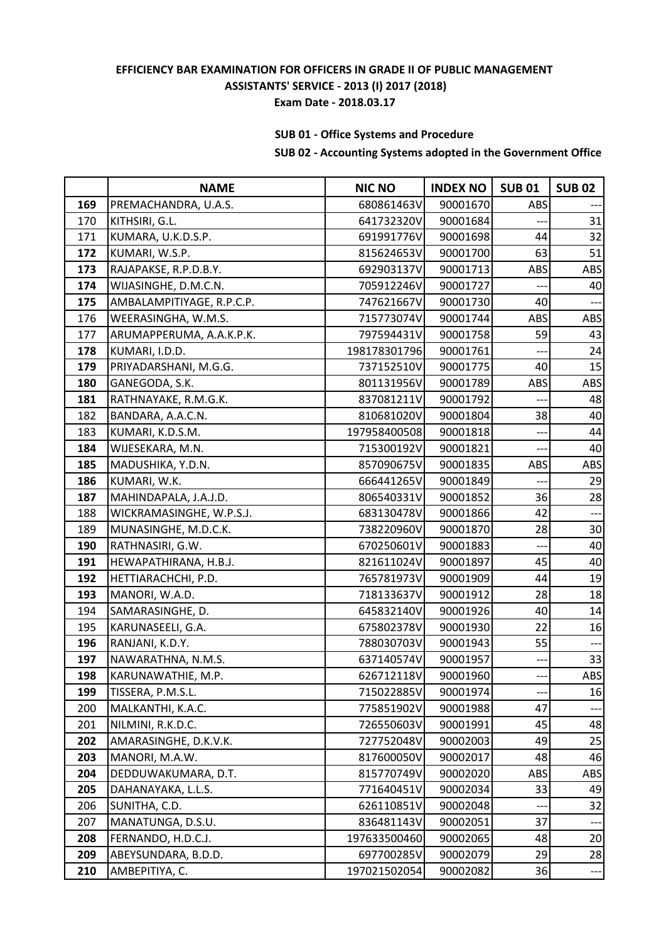# **SUB 01 - Office Systems and Procedure**

|     | <b>NAME</b>               | <b>NIC NO</b> | <b>INDEX NO</b> | <b>SUB01</b> | <b>SUB 02</b>  |
|-----|---------------------------|---------------|-----------------|--------------|----------------|
| 169 | PREMACHANDRA, U.A.S.      | 680861463V    | 90001670        | ABS          |                |
| 170 | KITHSIRI, G.L.            | 641732320V    | 90001684        |              | 31             |
| 171 | KUMARA, U.K.D.S.P.        | 691991776V    | 90001698        | 44           | 32             |
| 172 | KUMARI, W.S.P.            | 815624653V    | 90001700        | 63           | 51             |
| 173 | RAJAPAKSE, R.P.D.B.Y.     | 692903137V    | 90001713        | ABS          | ABS            |
| 174 | WIJASINGHE, D.M.C.N.      | 705912246V    | 90001727        |              | 40             |
| 175 | AMBALAMPITIYAGE, R.P.C.P. | 747621667V    | 90001730        | 40           |                |
| 176 | WEERASINGHA, W.M.S.       | 715773074V    | 90001744        | ABS          | ABS            |
| 177 | ARUMAPPERUMA, A.A.K.P.K.  | 797594431V    | 90001758        | 59           | 43             |
| 178 | KUMARI, I.D.D.            | 198178301796  | 90001761        | ---          | 24             |
| 179 | PRIYADARSHANI, M.G.G.     | 737152510V    | 90001775        | 40           | 15             |
| 180 | GANEGODA, S.K.            | 801131956V    | 90001789        | ABS          | ABS            |
| 181 | RATHNAYAKE, R.M.G.K.      | 837081211V    | 90001792        |              | 48             |
| 182 | BANDARA, A.A.C.N.         | 810681020V    | 90001804        | 38           | 40             |
| 183 | KUMARI, K.D.S.M.          | 197958400508  | 90001818        |              | 44             |
| 184 | WIJESEKARA, M.N.          | 715300192V    | 90001821        | ---          | 40             |
| 185 | MADUSHIKA, Y.D.N.         | 857090675V    | 90001835        | ABS          | ABS            |
| 186 | KUMARI, W.K.              | 666441265V    | 90001849        |              | 29             |
| 187 | MAHINDAPALA, J.A.J.D.     | 806540331V    | 90001852        | 36           | 28             |
| 188 | WICKRAMASINGHE, W.P.S.J.  | 683130478V    | 90001866        | 42           | ---            |
| 189 | MUNASINGHE, M.D.C.K.      | 738220960V    | 90001870        | 28           | 30             |
| 190 | RATHNASIRI, G.W.          | 670250601V    | 90001883        | $---$        | 40             |
| 191 | HEWAPATHIRANA, H.B.J.     | 821611024V    | 90001897        | 45           | 40             |
| 192 | HETTIARACHCHI, P.D.       | 765781973V    | 90001909        | 44           | 19             |
| 193 | MANORI, W.A.D.            | 718133637V    | 90001912        | 28           | 18             |
| 194 | SAMARASINGHE, D.          | 645832140V    | 90001926        | 40           | 14             |
| 195 | KARUNASEELI, G.A.         | 675802378V    | 90001930        | 22           | 16             |
| 196 | RANJANI, K.D.Y.           | 788030703V    | 90001943        | 55           | $\overline{a}$ |
| 197 | NAWARATHNA, N.M.S.        | 637140574V    | 90001957        | ---          | 33             |
| 198 | KARUNAWATHIE, M.P.        | 626712118V    | 90001960        |              | ABS            |
| 199 | TISSERA, P.M.S.L.         | 715022885V    | 90001974        |              | 16             |
| 200 | MALKANTHI, K.A.C.         | 775851902V    | 90001988        | 47           |                |
| 201 | NILMINI, R.K.D.C.         | 726550603V    | 90001991        | 45           | 48             |
| 202 | AMARASINGHE, D.K.V.K.     | 727752048V    | 90002003        | 49           | 25             |
| 203 | MANORI, M.A.W.            | 817600050V    | 90002017        | 48           | 46             |
| 204 | DEDDUWAKUMARA, D.T.       | 815770749V    | 90002020        | ABS          | ABS            |
| 205 | DAHANAYAKA, L.L.S.        | 771640451V    | 90002034        | 33           | 49             |
| 206 | SUNITHA, C.D.             | 626110851V    | 90002048        |              | 32             |
| 207 | MANATUNGA, D.S.U.         | 836481143V    | 90002051        | 37           |                |
| 208 | FERNANDO, H.D.C.J.        | 197633500460  | 90002065        | 48           | 20             |
| 209 | ABEYSUNDARA, B.D.D.       | 697700285V    | 90002079        | 29           | 28             |
| 210 | AMBEPITIYA, C.            | 197021502054  | 90002082        | 36           | ---            |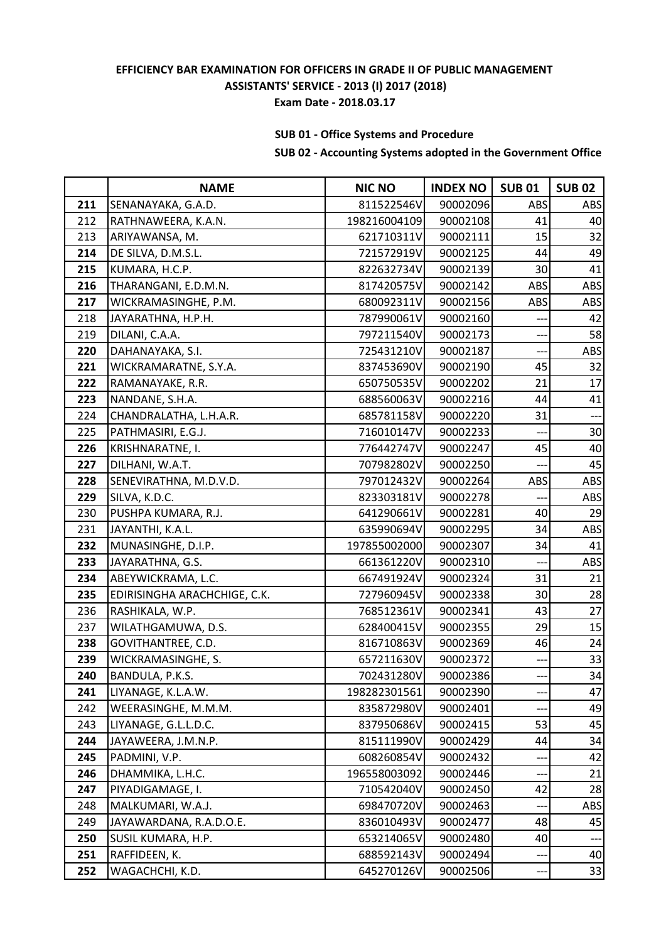# **SUB 01 - Office Systems and Procedure**

|     | <b>NAME</b>                  | <b>NIC NO</b> | <b>INDEX NO</b> | <b>SUB01</b> | <b>SUB 02</b> |
|-----|------------------------------|---------------|-----------------|--------------|---------------|
| 211 | SENANAYAKA, G.A.D.           | 811522546V    | 90002096        | ABS          | ABS           |
| 212 | RATHNAWEERA, K.A.N.          | 198216004109  | 90002108        | 41           | 40            |
| 213 | ARIYAWANSA, M.               | 621710311V    | 90002111        | 15           | 32            |
| 214 | DE SILVA, D.M.S.L.           | 721572919V    | 90002125        | 44           | 49            |
| 215 | KUMARA, H.C.P.               | 822632734V    | 90002139        | 30           | 41            |
| 216 | THARANGANI, E.D.M.N.         | 817420575V    | 90002142        | ABS          | ABS           |
| 217 | WICKRAMASINGHE, P.M.         | 680092311V    | 90002156        | ABS          | ABS           |
| 218 | JAYARATHNA, H.P.H.           | 787990061V    | 90002160        |              | 42            |
| 219 | DILANI, C.A.A.               | 797211540V    | 90002173        | ---          | 58            |
| 220 | DAHANAYAKA, S.I.             | 725431210V    | 90002187        | ---          | ABS           |
| 221 | WICKRAMARATNE, S.Y.A.        | 837453690V    | 90002190        | 45           | 32            |
| 222 | RAMANAYAKE, R.R.             | 650750535V    | 90002202        | 21           | 17            |
| 223 | NANDANE, S.H.A.              | 688560063V    | 90002216        | 44           | 41            |
| 224 | CHANDRALATHA, L.H.A.R.       | 685781158V    | 90002220        | 31           | --            |
| 225 | PATHMASIRI, E.G.J.           | 716010147V    | 90002233        |              | 30            |
| 226 | KRISHNARATNE, I.             | 776442747V    | 90002247        | 45           | 40            |
| 227 | DILHANI, W.A.T.              | 707982802V    | 90002250        |              | 45            |
| 228 | SENEVIRATHNA, M.D.V.D.       | 797012432V    | 90002264        | ABS          | <b>ABS</b>    |
| 229 | SILVA, K.D.C.                | 823303181V    | 90002278        |              | ABS           |
| 230 | PUSHPA KUMARA, R.J.          | 641290661V    | 90002281        | 40           | 29            |
| 231 | JAYANTHI, K.A.L.             | 635990694V    | 90002295        | 34           | ABS           |
| 232 | MUNASINGHE, D.I.P.           | 197855002000  | 90002307        | 34           | 41            |
| 233 | JAYARATHNA, G.S.             | 661361220V    | 90002310        |              | ABS           |
| 234 | ABEYWICKRAMA, L.C.           | 667491924V    | 90002324        | 31           | 21            |
| 235 | EDIRISINGHA ARACHCHIGE, C.K. | 727960945V    | 90002338        | 30           | 28            |
| 236 | RASHIKALA, W.P.              | 768512361V    | 90002341        | 43           | 27            |
| 237 | WILATHGAMUWA, D.S.           | 628400415V    | 90002355        | 29           | 15            |
| 238 | GOVITHANTREE, C.D.           | 816710863V    | 90002369        | 46           | 24            |
| 239 | WICKRAMASINGHE, S.           | 657211630V    | 90002372        | $-$          | 33            |
| 240 | BANDULA, P.K.S.              | 702431280V    | 90002386        |              | 34            |
| 241 | LIYANAGE, K.L.A.W.           | 198282301561  | 90002390        |              | 47            |
| 242 | WEERASINGHE, M.M.M.          | 835872980V    | 90002401        |              | 49            |
| 243 | LIYANAGE, G.L.L.D.C.         | 837950686V    | 90002415        | 53           | 45            |
| 244 | JAYAWEERA, J.M.N.P.          | 815111990V    | 90002429        | 44           | 34            |
| 245 | PADMINI, V.P.                | 608260854V    | 90002432        |              | 42            |
| 246 | DHAMMIKA, L.H.C.             | 196558003092  | 90002446        | ---          | 21            |
| 247 | PIYADIGAMAGE, I.             | 710542040V    | 90002450        | 42           | 28            |
| 248 | MALKUMARI, W.A.J.            | 698470720V    | 90002463        |              | <b>ABS</b>    |
| 249 | JAYAWARDANA, R.A.D.O.E.      | 836010493V    | 90002477        | 48           | 45            |
| 250 | SUSIL KUMARA, H.P.           | 653214065V    | 90002480        | 40           |               |
| 251 | RAFFIDEEN, K.                | 688592143V    | 90002494        | ---          | 40            |
| 252 | WAGACHCHI, K.D.              | 645270126V    | 90002506        | ---          | 33            |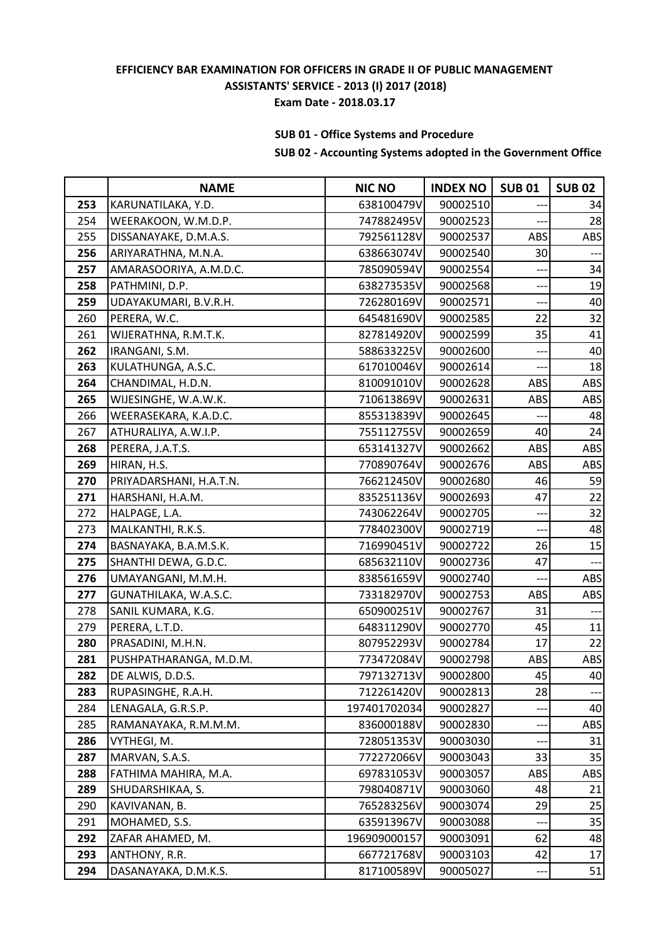# **SUB 01 - Office Systems and Procedure**

|     | <b>NAME</b>             | <b>NIC NO</b> | <b>INDEX NO</b> | <b>SUB01</b> | <b>SUB 02</b>  |
|-----|-------------------------|---------------|-----------------|--------------|----------------|
| 253 | KARUNATILAKA, Y.D.      | 638100479V    | 90002510        |              | 34             |
| 254 | WEERAKOON, W.M.D.P.     | 747882495V    | 90002523        |              | 28             |
| 255 | DISSANAYAKE, D.M.A.S.   | 792561128V    | 90002537        | ABS          | ABS            |
| 256 | ARIYARATHNA, M.N.A.     | 638663074V    | 90002540        | 30           |                |
| 257 | AMARASOORIYA, A.M.D.C.  | 785090594V    | 90002554        | ---          | 34             |
| 258 | PATHMINI, D.P.          | 638273535V    | 90002568        | $--$         | 19             |
| 259 | UDAYAKUMARI, B.V.R.H.   | 726280169V    | 90002571        |              | 40             |
| 260 | PERERA, W.C.            | 645481690V    | 90002585        | 22           | 32             |
| 261 | WIJERATHNA, R.M.T.K.    | 827814920V    | 90002599        | 35           | 41             |
| 262 | IRANGANI, S.M.          | 588633225V    | 90002600        | ---          | 40             |
| 263 | KULATHUNGA, A.S.C.      | 617010046V    | 90002614        |              | 18             |
| 264 | CHANDIMAL, H.D.N.       | 810091010V    | 90002628        | ABS          | ABS            |
| 265 | WIJESINGHE, W.A.W.K.    | 710613869V    | 90002631        | ABS          | ABS            |
| 266 | WEERASEKARA, K.A.D.C.   | 855313839V    | 90002645        |              | 48             |
| 267 | ATHURALIYA, A.W.I.P.    | 755112755V    | 90002659        | 40           | 24             |
| 268 | PERERA, J.A.T.S.        | 653141327V    | 90002662        | ABS          | ABS            |
| 269 | HIRAN, H.S.             | 770890764V    | 90002676        | ABS          | ABS            |
| 270 | PRIYADARSHANI, H.A.T.N. | 766212450V    | 90002680        | 46           | 59             |
| 271 | HARSHANI, H.A.M.        | 835251136V    | 90002693        | 47           | 22             |
| 272 | HALPAGE, L.A.           | 743062264V    | 90002705        |              | 32             |
| 273 | MALKANTHI, R.K.S.       | 778402300V    | 90002719        | $---$        | 48             |
| 274 | BASNAYAKA, B.A.M.S.K.   | 716990451V    | 90002722        | 26           | 15             |
| 275 | SHANTHI DEWA, G.D.C.    | 685632110V    | 90002736        | 47           | ---            |
| 276 | UMAYANGANI, M.M.H.      | 838561659V    | 90002740        | ---          | ABS            |
| 277 | GUNATHILAKA, W.A.S.C.   | 733182970V    | 90002753        | ABS          | ABS            |
| 278 | SANIL KUMARA, K.G.      | 650900251V    | 90002767        | 31           |                |
| 279 | PERERA, L.T.D.          | 648311290V    | 90002770        | 45           | 11             |
| 280 | PRASADINI, M.H.N.       | 807952293V    | 90002784        | 17           | 22             |
| 281 | PUSHPATHARANGA, M.D.M.  | 773472084V    | 90002798        | ABS          | ABS            |
| 282 | DE ALWIS, D.D.S.        | 797132713V    | 90002800        | 45           | 40             |
| 283 | RUPASINGHE, R.A.H.      | 712261420V    | 90002813        | 28           | $\overline{a}$ |
| 284 | LENAGALA, G.R.S.P.      | 197401702034  | 90002827        |              | 40             |
| 285 | RAMANAYAKA, R.M.M.M.    | 836000188V    | 90002830        |              | ABS            |
| 286 | VYTHEGI, M.             | 728051353V    | 90003030        |              | 31             |
| 287 | MARVAN, S.A.S.          | 772272066V    | 90003043        | 33           | 35             |
| 288 | FATHIMA MAHIRA, M.A.    | 697831053V    | 90003057        | ABS          | ABS            |
| 289 | SHUDARSHIKAA, S.        | 798040871V    | 90003060        | 48           | 21             |
| 290 | KAVIVANAN, B.           | 765283256V    | 90003074        | 29           | 25             |
| 291 | MOHAMED, S.S.           | 635913967V    | 90003088        |              | 35             |
| 292 | ZAFAR AHAMED, M.        | 196909000157  | 90003091        | 62           | 48             |
| 293 | ANTHONY, R.R.           | 667721768V    | 90003103        | 42           | 17             |
| 294 | DASANAYAKA, D.M.K.S.    | 817100589V    | 90005027        | ---          | 51             |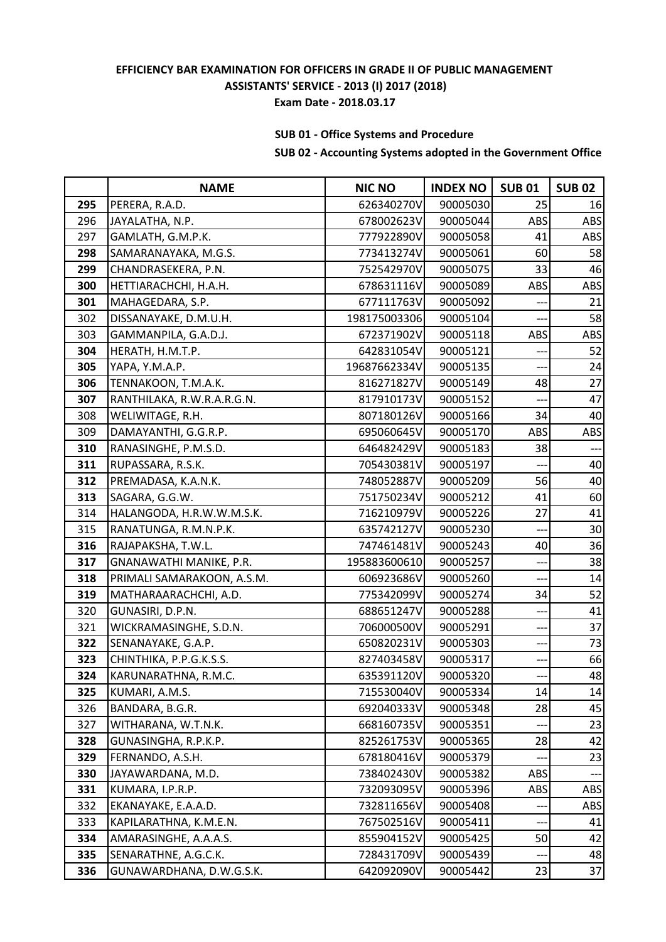# **SUB 01 - Office Systems and Procedure**

|     | <b>NAME</b>                | <b>NIC NO</b> | <b>INDEX NO</b> | <b>SUB01</b> | <b>SUB 02</b> |
|-----|----------------------------|---------------|-----------------|--------------|---------------|
| 295 | PERERA, R.A.D.             | 626340270V    | 90005030        | 25           | 16            |
| 296 | JAYALATHA, N.P.            | 678002623V    | 90005044        | ABS          | ABS           |
| 297 | GAMLATH, G.M.P.K.          | 777922890V    | 90005058        | 41           | ABS           |
| 298 | SAMARANAYAKA, M.G.S.       | 773413274V    | 90005061        | 60           | 58            |
| 299 | CHANDRASEKERA, P.N.        | 752542970V    | 90005075        | 33           | 46            |
| 300 | HETTIARACHCHI, H.A.H.      | 678631116V    | 90005089        | ABS          | ABS           |
| 301 | MAHAGEDARA, S.P.           | 677111763V    | 90005092        |              | 21            |
| 302 | DISSANAYAKE, D.M.U.H.      | 198175003306  | 90005104        |              | 58            |
| 303 | GAMMANPILA, G.A.D.J.       | 672371902V    | 90005118        | ABS          | ABS           |
| 304 | HERATH, H.M.T.P.           | 642831054V    | 90005121        | ---          | 52            |
| 305 | YAPA, Y.M.A.P.             | 19687662334V  | 90005135        |              | 24            |
| 306 | TENNAKOON, T.M.A.K.        | 816271827V    | 90005149        | 48           | 27            |
| 307 | RANTHILAKA, R.W.R.A.R.G.N. | 817910173V    | 90005152        |              | 47            |
| 308 | WELIWITAGE, R.H.           | 807180126V    | 90005166        | 34           | 40            |
| 309 | DAMAYANTHI, G.G.R.P.       | 695060645V    | 90005170        | ABS          | ABS           |
| 310 | RANASINGHE, P.M.S.D.       | 646482429V    | 90005183        | 38           |               |
| 311 | RUPASSARA, R.S.K.          | 705430381V    | 90005197        |              | 40            |
| 312 | PREMADASA, K.A.N.K.        | 748052887V    | 90005209        | 56           | 40            |
| 313 | SAGARA, G.G.W.             | 751750234V    | 90005212        | 41           | 60            |
| 314 | HALANGODA, H.R.W.W.M.S.K.  | 716210979V    | 90005226        | 27           | 41            |
| 315 | RANATUNGA, R.M.N.P.K.      | 635742127V    | 90005230        | ---          | 30            |
| 316 | RAJAPAKSHA, T.W.L.         | 747461481V    | 90005243        | 40           | 36            |
| 317 | GNANAWATHI MANIKE, P.R.    | 195883600610  | 90005257        | ---          | 38            |
| 318 | PRIMALI SAMARAKOON, A.S.M. | 606923686V    | 90005260        | ---          | 14            |
| 319 | MATHARAARACHCHI, A.D.      | 775342099V    | 90005274        | 34           | 52            |
| 320 | GUNASIRI, D.P.N.           | 688651247V    | 90005288        |              | 41            |
| 321 | WICKRAMASINGHE, S.D.N.     | 706000500V    | 90005291        | --           | 37            |
| 322 | SENANAYAKE, G.A.P.         | 650820231V    | 90005303        | ---          | 73            |
| 323 | CHINTHIKA, P.P.G.K.S.S.    | 827403458V    | 90005317        | ---          | 66            |
| 324 | KARUNARATHNA, R.M.C.       | 635391120V    | 90005320        |              | 48            |
| 325 | KUMARI, A.M.S.             | 715530040V    | 90005334        | 14           | 14            |
| 326 | BANDARA, B.G.R.            | 692040333V    | 90005348        | 28           | 45            |
| 327 | WITHARANA, W.T.N.K.        | 668160735V    | 90005351        |              | 23            |
| 328 | GUNASINGHA, R.P.K.P.       | 825261753V    | 90005365        | 28           | 42            |
| 329 | FERNANDO, A.S.H.           | 678180416V    | 90005379        |              | 23            |
| 330 | JAYAWARDANA, M.D.          | 738402430V    | 90005382        | ABS          |               |
| 331 | KUMARA, I.P.R.P.           | 732093095V    | 90005396        | ABS          | <b>ABS</b>    |
| 332 | EKANAYAKE, E.A.A.D.        | 732811656V    | 90005408        | ---          | <b>ABS</b>    |
| 333 | KAPILARATHNA, K.M.E.N.     | 767502516V    | 90005411        |              | 41            |
| 334 | AMARASINGHE, A.A.A.S.      | 855904152V    | 90005425        | 50           | 42            |
| 335 | SENARATHNE, A.G.C.K.       | 728431709V    | 90005439        | ---          | 48            |
| 336 | GUNAWARDHANA, D.W.G.S.K.   | 642092090V    | 90005442        | 23           | 37            |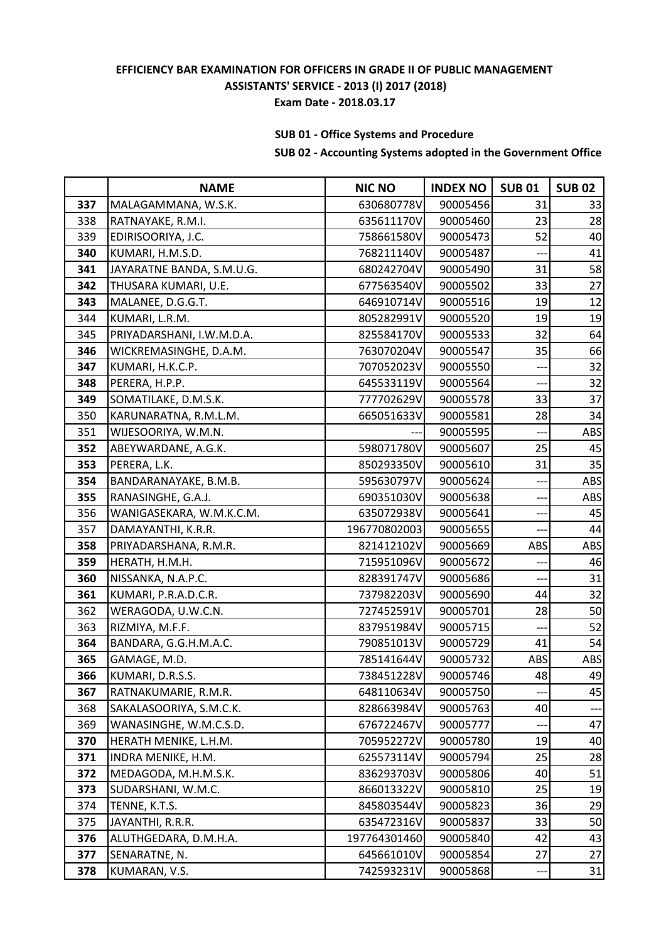# **SUB 01 - Office Systems and Procedure**

|     | <b>NAME</b>               | <b>NIC NO</b> | <b>INDEX NO</b> | <b>SUB01</b> | <b>SUB 02</b> |
|-----|---------------------------|---------------|-----------------|--------------|---------------|
| 337 | MALAGAMMANA, W.S.K.       | 630680778V    | 90005456        | 31           | 33            |
| 338 | RATNAYAKE, R.M.I.         | 635611170V    | 90005460        | 23           | 28            |
| 339 | EDIRISOORIYA, J.C.        | 758661580V    | 90005473        | 52           | 40            |
| 340 | KUMARI, H.M.S.D.          | 768211140V    | 90005487        |              | 41            |
| 341 | JAYARATNE BANDA, S.M.U.G. | 680242704V    | 90005490        | 31           | 58            |
| 342 | THUSARA KUMARI, U.E.      | 677563540V    | 90005502        | 33           | 27            |
| 343 | MALANEE, D.G.G.T.         | 646910714V    | 90005516        | 19           | 12            |
| 344 | KUMARI, L.R.M.            | 805282991V    | 90005520        | 19           | 19            |
| 345 | PRIYADARSHANI, I.W.M.D.A. | 825584170V    | 90005533        | 32           | 64            |
| 346 | WICKREMASINGHE, D.A.M.    | 763070204V    | 90005547        | 35           | 66            |
| 347 | KUMARI, H.K.C.P.          | 707052023V    | 90005550        |              | 32            |
| 348 | PERERA, H.P.P.            | 645533119V    | 90005564        |              | 32            |
| 349 | SOMATILAKE, D.M.S.K.      | 777702629V    | 90005578        | 33           | 37            |
| 350 | KARUNARATNA, R.M.L.M.     | 665051633V    | 90005581        | 28           | 34            |
| 351 | WIJESOORIYA, W.M.N.       |               | 90005595        | ---          | ABS           |
| 352 | ABEYWARDANE, A.G.K.       | 598071780V    | 90005607        | 25           | 45            |
| 353 | PERERA, L.K.              | 850293350V    | 90005610        | 31           | 35            |
| 354 | BANDARANAYAKE, B.M.B.     | 595630797V    | 90005624        |              | ABS           |
| 355 | RANASINGHE, G.A.J.        | 690351030V    | 90005638        |              | ABS           |
| 356 | WANIGASEKARA, W.M.K.C.M.  | 635072938V    | 90005641        | $--$         | 45            |
| 357 | DAMAYANTHI, K.R.R.        | 196770802003  | 90005655        |              | 44            |
| 358 | PRIYADARSHANA, R.M.R.     | 821412102V    | 90005669        | ABS          | ABS           |
| 359 | HERATH, H.M.H.            | 715951096V    | 90005672        |              | 46            |
| 360 | NISSANKA, N.A.P.C.        | 828391747V    | 90005686        |              | 31            |
| 361 | KUMARI, P.R.A.D.C.R.      | 737982203V    | 90005690        | 44           | 32            |
| 362 | WERAGODA, U.W.C.N.        | 727452591V    | 90005701        | 28           | 50            |
| 363 | RIZMIYA, M.F.F.           | 837951984V    | 90005715        | $---$        | 52            |
| 364 | BANDARA, G.G.H.M.A.C.     | 790851013V    | 90005729        | 41           | 54            |
| 365 | GAMAGE, M.D.              | 785141644V    | 90005732        | ABS          | ABS           |
| 366 | KUMARI, D.R.S.S.          | 738451228V    | 90005746        | 48           | 49            |
| 367 | RATNAKUMARIE, R.M.R.      | 648110634V    | 90005750        |              | 45            |
| 368 | SAKALASOORIYA, S.M.C.K.   | 828663984V    | 90005763        | 40           | ---           |
| 369 | WANASINGHE, W.M.C.S.D.    | 676722467V    | 90005777        |              | 47            |
| 370 | HERATH MENIKE, L.H.M.     | 705952272V    | 90005780        | 19           | 40            |
| 371 | INDRA MENIKE, H.M.        | 625573114V    | 90005794        | 25           | 28            |
| 372 | MEDAGODA, M.H.M.S.K.      | 836293703V    | 90005806        | 40           | 51            |
| 373 | SUDARSHANI, W.M.C.        | 866013322V    | 90005810        | 25           | 19            |
| 374 | TENNE, K.T.S.             | 845803544V    | 90005823        | 36           | 29            |
| 375 | JAYANTHI, R.R.R.          | 635472316V    | 90005837        | 33           | 50            |
| 376 | ALUTHGEDARA, D.M.H.A.     | 197764301460  | 90005840        | 42           | 43            |
| 377 | SENARATNE, N.             | 645661010V    | 90005854        | 27           | 27            |
| 378 | KUMARAN, V.S.             | 742593231V    | 90005868        | ---          | 31            |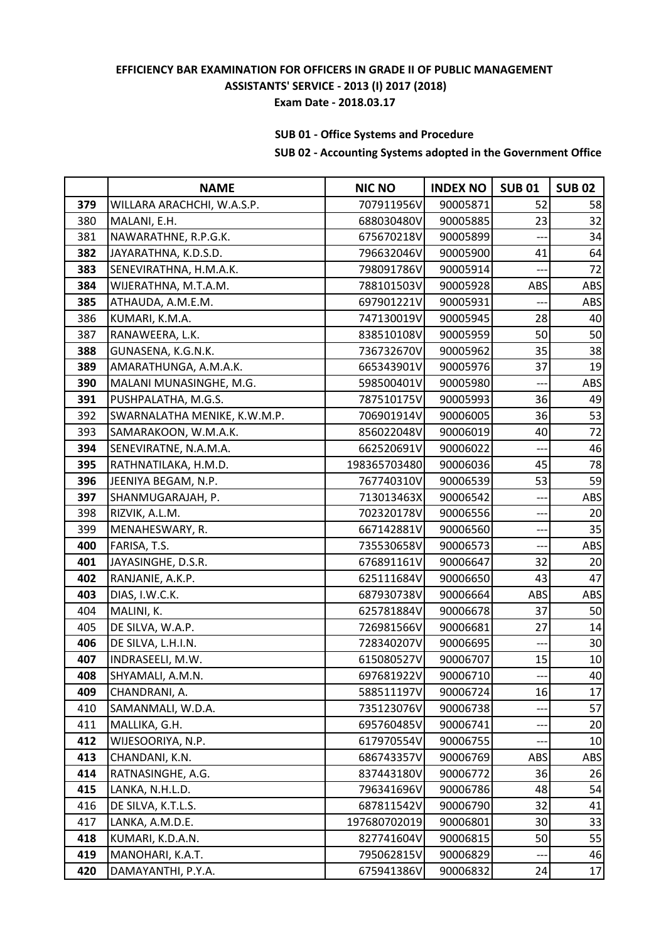# **SUB 01 - Office Systems and Procedure**

|     | <b>NAME</b>                  | <b>NIC NO</b> | <b>INDEX NO</b> | <b>SUB01</b> | <b>SUB 02</b>   |
|-----|------------------------------|---------------|-----------------|--------------|-----------------|
| 379 | WILLARA ARACHCHI, W.A.S.P.   | 707911956V    | 90005871        | 52           | 58              |
| 380 | MALANI, E.H.                 | 688030480V    | 90005885        | 23           | 32              |
| 381 | NAWARATHNE, R.P.G.K.         | 675670218V    | 90005899        |              | 34              |
| 382 | JAYARATHNA, K.D.S.D.         | 796632046V    | 90005900        | 41           | 64              |
| 383 | SENEVIRATHNA, H.M.A.K.       | 798091786V    | 90005914        | ---          | 72              |
| 384 | WIJERATHNA, M.T.A.M.         | 788101503V    | 90005928        | ABS          | ABS             |
| 385 | ATHAUDA, A.M.E.M.            | 697901221V    | 90005931        |              | ABS             |
| 386 | KUMARI, K.M.A.               | 747130019V    | 90005945        | 28           | 40              |
| 387 | RANAWEERA, L.K.              | 838510108V    | 90005959        | 50           | 50              |
| 388 | GUNASENA, K.G.N.K.           | 736732670V    | 90005962        | 35           | 38              |
| 389 | AMARATHUNGA, A.M.A.K.        | 665343901V    | 90005976        | 37           | 19              |
| 390 | MALANI MUNASINGHE, M.G.      | 598500401V    | 90005980        |              | ABS             |
| 391 | PUSHPALATHA, M.G.S.          | 787510175V    | 90005993        | 36           | 49              |
| 392 | SWARNALATHA MENIKE, K.W.M.P. | 706901914V    | 90006005        | 36           | 53              |
| 393 | SAMARAKOON, W.M.A.K.         | 856022048V    | 90006019        | 40           | 72              |
| 394 | SENEVIRATNE, N.A.M.A.        | 662520691V    | 90006022        |              | 46              |
| 395 | RATHNATILAKA, H.M.D.         | 198365703480  | 90006036        | 45           | 78              |
| 396 | JEENIYA BEGAM, N.P.          | 767740310V    | 90006539        | 53           | 59              |
| 397 | SHANMUGARAJAH, P.            | 713013463X    | 90006542        |              | ABS             |
| 398 | RIZVIK, A.L.M.               | 702320178V    | 90006556        |              | 20              |
| 399 | MENAHESWARY, R.              | 667142881V    | 90006560        | ---          | 35              |
| 400 | FARISA, T.S.                 | 735530658V    | 90006573        |              | ABS             |
| 401 | JAYASINGHE, D.S.R.           | 676891161V    | 90006647        | 32           | 20              |
| 402 | RANJANIE, A.K.P.             | 625111684V    | 90006650        | 43           | 47              |
| 403 | DIAS, I.W.C.K.               | 687930738V    | 90006664        | ABS          | ABS             |
| 404 | MALINI, K.                   | 625781884V    | 90006678        | 37           | 50              |
| 405 | DE SILVA, W.A.P.             | 726981566V    | 90006681        | 27           | 14              |
| 406 | DE SILVA, L.H.I.N.           | 728340207V    | 90006695        |              | 30              |
| 407 | INDRASEELI, M.W.             | 615080527V    | 90006707        | 15           | 10              |
| 408 | SHYAMALI, A.M.N.             | 697681922V    | 90006710        |              | 40              |
| 409 | CHANDRANI, A.                | 588511197V    | 90006724        | 16           | 17              |
| 410 | SAMANMALI, W.D.A.            | 735123076V    | 90006738        |              | 57              |
| 411 | MALLIKA, G.H.                | 695760485V    | 90006741        |              | 20              |
| 412 | WIJESOORIYA, N.P.            | 617970554V    | 90006755        |              | 10              |
| 413 | CHANDANI, K.N.               | 686743357V    | 90006769        | ABS          | ABS             |
| 414 | RATNASINGHE, A.G.            | 837443180V    | 90006772        | 36           | 26              |
| 415 | LANKA, N.H.L.D.              | 796341696V    | 90006786        | 48           | 54              |
| 416 | DE SILVA, K.T.L.S.           | 687811542V    | 90006790        | 32           | 41              |
| 417 | LANKA, A.M.D.E.              | 197680702019  | 90006801        | 30           | 33              |
| 418 | KUMARI, K.D.A.N.             | 827741604V    | 90006815        | 50           | 55              |
| 419 | MANOHARI, K.A.T.             | 795062815V    | 90006829        |              | 46              |
| 420 | DAMAYANTHI, P.Y.A.           | 675941386V    | 90006832        | 24           | 17 <sup>1</sup> |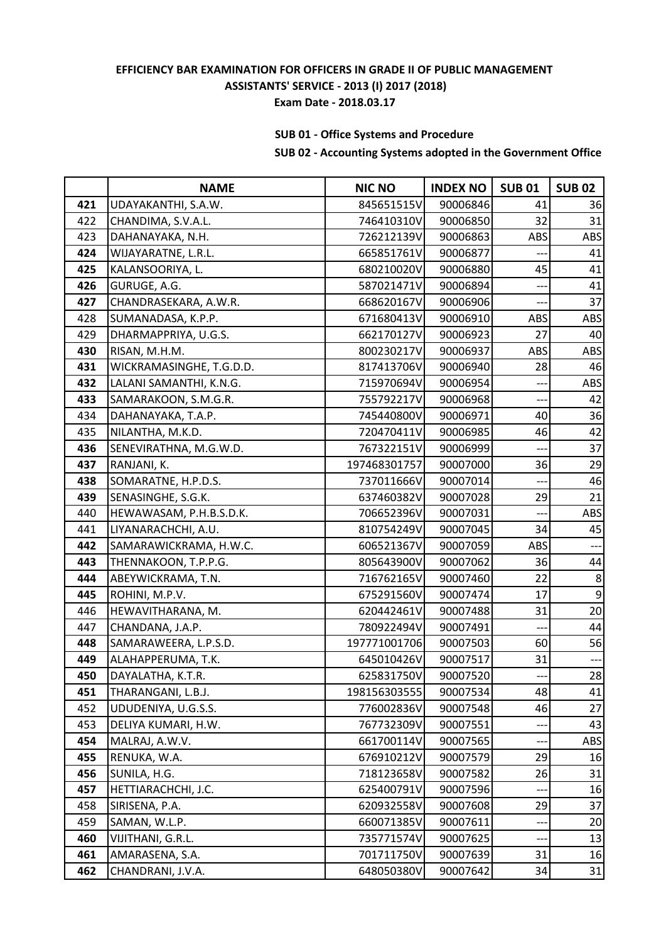# **SUB 01 - Office Systems and Procedure**

|     | <b>NAME</b>              | <b>NIC NO</b> | <b>INDEX NO</b> | <b>SUB01</b> | <b>SUB 02</b> |
|-----|--------------------------|---------------|-----------------|--------------|---------------|
| 421 | UDAYAKANTHI, S.A.W.      | 845651515V    | 90006846        | 41           | 36            |
| 422 | CHANDIMA, S.V.A.L.       | 746410310V    | 90006850        | 32           | 31            |
| 423 | DAHANAYAKA, N.H.         | 726212139V    | 90006863        | ABS          | ABS           |
| 424 | WIJAYARATNE, L.R.L.      | 665851761V    | 90006877        |              | 41            |
| 425 | KALANSOORIYA, L.         | 680210020V    | 90006880        | 45           | 41            |
| 426 | GURUGE, A.G.             | 587021471V    | 90006894        |              | 41            |
| 427 | CHANDRASEKARA, A.W.R.    | 668620167V    | 90006906        |              | 37            |
| 428 | SUMANADASA, K.P.P.       | 671680413V    | 90006910        | ABS          | ABS           |
| 429 | DHARMAPPRIYA, U.G.S.     | 662170127V    | 90006923        | 27           | 40            |
| 430 | RISAN, M.H.M.            | 800230217V    | 90006937        | ABS          | ABS           |
| 431 | WICKRAMASINGHE, T.G.D.D. | 817413706V    | 90006940        | 28           | 46            |
| 432 | LALANI SAMANTHI, K.N.G.  | 715970694V    | 90006954        |              | ABS           |
| 433 | SAMARAKOON, S.M.G.R.     | 755792217V    | 90006968        |              | 42            |
| 434 | DAHANAYAKA, T.A.P.       | 745440800V    | 90006971        | 40           | 36            |
| 435 | NILANTHA, M.K.D.         | 720470411V    | 90006985        | 46           | 42            |
| 436 | SENEVIRATHNA, M.G.W.D.   | 767322151V    | 90006999        |              | 37            |
| 437 | RANJANI, K.              | 197468301757  | 90007000        | 36           | 29            |
| 438 | SOMARATNE, H.P.D.S.      | 737011666V    | 90007014        |              | 46            |
| 439 | SENASINGHE, S.G.K.       | 637460382V    | 90007028        | 29           | 21            |
| 440 | HEWAWASAM, P.H.B.S.D.K.  | 706652396V    | 90007031        |              | ABS           |
| 441 | LIYANARACHCHI, A.U.      | 810754249V    | 90007045        | 34           | 45            |
| 442 | SAMARAWICKRAMA, H.W.C.   | 606521367V    | 90007059        | ABS          | ---           |
| 443 | THENNAKOON, T.P.P.G.     | 805643900V    | 90007062        | 36           | 44            |
| 444 | ABEYWICKRAMA, T.N.       | 716762165V    | 90007460        | 22           | 8             |
| 445 | ROHINI, M.P.V.           | 675291560V    | 90007474        | 17           | $9\,$         |
| 446 | HEWAVITHARANA, M.        | 620442461V    | 90007488        | 31           | 20            |
| 447 | CHANDANA, J.A.P.         | 780922494V    | 90007491        | ---          | 44            |
| 448 | SAMARAWEERA, L.P.S.D.    | 197771001706  | 90007503        | 60           | 56            |
| 449 | ALAHAPPERUMA, T.K.       | 645010426V    | 90007517        | 31           | $---$         |
| 450 | DAYALATHA, K.T.R.        | 625831750V    | 90007520        |              | 28            |
| 451 | THARANGANI, L.B.J.       | 198156303555  | 90007534        | 48           | 41            |
| 452 | UDUDENIYA, U.G.S.S.      | 776002836V    | 90007548        | 46           | 27            |
| 453 | DELIYA KUMARI, H.W.      | 767732309V    | 90007551        |              | 43            |
| 454 | MALRAJ, A.W.V.           | 661700114V    | 90007565        |              | ABS           |
| 455 | RENUKA, W.A.             | 676910212V    | 90007579        | 29           | 16            |
| 456 | SUNILA, H.G.             | 718123658V    | 90007582        | 26           | 31            |
| 457 | HETTIARACHCHI, J.C.      | 625400791V    | 90007596        |              | 16            |
| 458 | SIRISENA, P.A.           | 620932558V    | 90007608        | 29           | 37            |
| 459 | SAMAN, W.L.P.            | 660071385V    | 90007611        |              | 20            |
| 460 | VIJITHANI, G.R.L.        | 735771574V    | 90007625        |              | 13            |
| 461 | AMARASENA, S.A.          | 701711750V    | 90007639        | 31           | 16            |
| 462 | CHANDRANI, J.V.A.        | 648050380V    | 90007642        | 34           | 31            |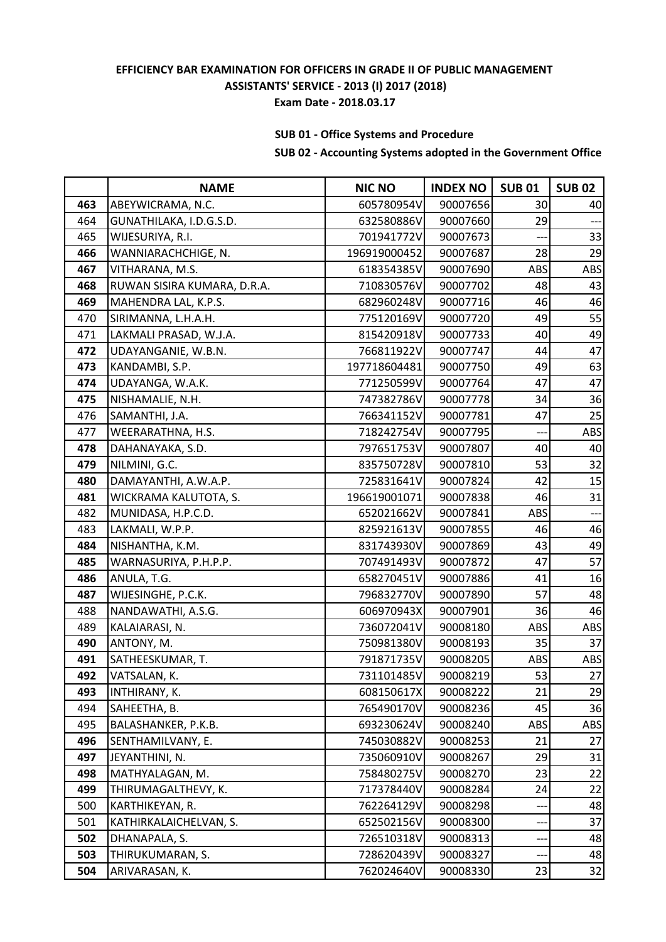# **SUB 01 - Office Systems and Procedure**

|     | <b>NAME</b>                 | <b>NIC NO</b> | <b>INDEX NO</b> | <b>SUB01</b> | <b>SUB 02</b> |
|-----|-----------------------------|---------------|-----------------|--------------|---------------|
| 463 | ABEYWICRAMA, N.C.           | 605780954V    | 90007656        | 30           | 40            |
| 464 | GUNATHILAKA, I.D.G.S.D.     | 632580886V    | 90007660        | 29           |               |
| 465 | WIJESURIYA, R.I.            | 701941772V    | 90007673        |              | 33            |
| 466 | WANNIARACHCHIGE, N.         | 196919000452  | 90007687        | 28           | 29            |
| 467 | VITHARANA, M.S.             | 618354385V    | 90007690        | ABS          | ABS           |
| 468 | RUWAN SISIRA KUMARA, D.R.A. | 710830576V    | 90007702        | 48           | 43            |
| 469 | MAHENDRA LAL, K.P.S.        | 682960248V    | 90007716        | 46           | 46            |
| 470 | SIRIMANNA, L.H.A.H.         | 775120169V    | 90007720        | 49           | 55            |
| 471 | LAKMALI PRASAD, W.J.A.      | 815420918V    | 90007733        | 40           | 49            |
| 472 | UDAYANGANIE, W.B.N.         | 766811922V    | 90007747        | 44           | 47            |
| 473 | KANDAMBI, S.P.              | 197718604481  | 90007750        | 49           | 63            |
| 474 | UDAYANGA, W.A.K.            | 771250599V    | 90007764        | 47           | 47            |
| 475 | NISHAMALIE, N.H.            | 747382786V    | 90007778        | 34           | 36            |
| 476 | SAMANTHI, J.A.              | 766341152V    | 90007781        | 47           | 25            |
| 477 | WEERARATHNA, H.S.           | 718242754V    | 90007795        | $---$        | ABS           |
| 478 | DAHANAYAKA, S.D.            | 797651753V    | 90007807        | 40           | 40            |
| 479 | NILMINI, G.C.               | 835750728V    | 90007810        | 53           | 32            |
| 480 | DAMAYANTHI, A.W.A.P.        | 725831641V    | 90007824        | 42           | 15            |
| 481 | WICKRAMA KALUTOTA, S.       | 196619001071  | 90007838        | 46           | 31            |
| 482 | MUNIDASA, H.P.C.D.          | 652021662V    | 90007841        | ABS          | $---$         |
| 483 | LAKMALI, W.P.P.             | 825921613V    | 90007855        | 46           | 46            |
| 484 | NISHANTHA, K.M.             | 831743930V    | 90007869        | 43           | 49            |
| 485 | WARNASURIYA, P.H.P.P.       | 707491493V    | 90007872        | 47           | 57            |
| 486 | ANULA, T.G.                 | 658270451V    | 90007886        | 41           | 16            |
| 487 | WIJESINGHE, P.C.K.          | 796832770V    | 90007890        | 57           | 48            |
| 488 | NANDAWATHI, A.S.G.          | 606970943X    | 90007901        | 36           | 46            |
| 489 | KALAIARASI, N.              | 736072041V    | 90008180        | ABS          | ABS           |
| 490 | ANTONY, M.                  | 750981380V    | 90008193        | 35           | 37            |
| 491 | SATHEESKUMAR, T.            | 791871735V    | 90008205        | ABS          | ABS           |
| 492 | VATSALAN, K.                | 731101485V    | 90008219        | 53           | $27\,$        |
| 493 | INTHIRANY, K.               | 608150617X    | 90008222        | 21           | 29            |
| 494 | SAHEETHA, B.                | 765490170V    | 90008236        | 45           | 36            |
| 495 | BALASHANKER, P.K.B.         | 693230624V    | 90008240        | ABS          | <b>ABS</b>    |
| 496 | SENTHAMILVANY, E.           | 745030882V    | 90008253        | 21           | 27            |
| 497 | JEYANTHINI, N.              | 735060910V    | 90008267        | 29           | 31            |
| 498 | MATHYALAGAN, M.             | 758480275V    | 90008270        | 23           | 22            |
| 499 | THIRUMAGALTHEVY, K.         | 717378440V    | 90008284        | 24           | 22            |
| 500 | KARTHIKEYAN, R.             | 762264129V    | 90008298        |              | 48            |
| 501 | KATHIRKALAICHELVAN, S.      | 652502156V    | 90008300        | --           | 37            |
| 502 | DHANAPALA, S.               | 726510318V    | 90008313        |              | 48            |
| 503 | THIRUKUMARAN, S.            | 728620439V    | 90008327        | ---          | 48            |
| 504 | ARIVARASAN, K.              | 762024640V    | 90008330        | 23           | 32            |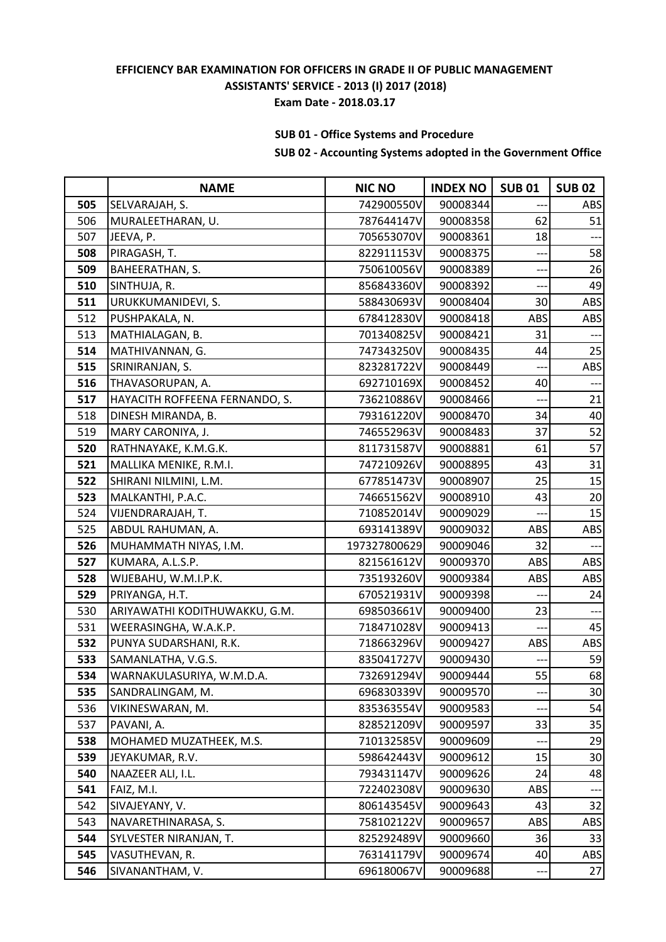# **SUB 01 - Office Systems and Procedure**

|     | <b>NAME</b>                    | <b>NIC NO</b> | <b>INDEX NO</b> | <b>SUB01</b> | <b>SUB 02</b> |
|-----|--------------------------------|---------------|-----------------|--------------|---------------|
| 505 | SELVARAJAH, S.                 | 742900550V    | 90008344        |              | ABS           |
| 506 | MURALEETHARAN, U.              | 787644147V    | 90008358        | 62           | 51            |
| 507 | JEEVA, P.                      | 705653070V    | 90008361        | 18           |               |
| 508 | PIRAGASH, T.                   | 822911153V    | 90008375        |              | 58            |
| 509 | BAHEERATHAN, S.                | 750610056V    | 90008389        | ---          | 26            |
| 510 | SINTHUJA, R.                   | 856843360V    | 90008392        |              | 49            |
| 511 | URUKKUMANIDEVI, S.             | 588430693V    | 90008404        | 30           | <b>ABS</b>    |
| 512 | PUSHPAKALA, N.                 | 678412830V    | 90008418        | ABS          | ABS           |
| 513 | MATHIALAGAN, B.                | 701340825V    | 90008421        | 31           |               |
| 514 | MATHIVANNAN, G.                | 747343250V    | 90008435        | 44           | 25            |
| 515 | SRINIRANJAN, S.                | 823281722V    | 90008449        |              | ABS           |
| 516 | THAVASORUPAN, A.               | 692710169X    | 90008452        | 40           |               |
| 517 | HAYACITH ROFFEENA FERNANDO, S. | 736210886V    | 90008466        |              | 21            |
| 518 | DINESH MIRANDA, B.             | 793161220V    | 90008470        | 34           | 40            |
| 519 | MARY CARONIYA, J.              | 746552963V    | 90008483        | 37           | 52            |
| 520 | RATHNAYAKE, K.M.G.K.           | 811731587V    | 90008881        | 61           | 57            |
| 521 | MALLIKA MENIKE, R.M.I.         | 747210926V    | 90008895        | 43           | 31            |
| 522 | SHIRANI NILMINI, L.M.          | 677851473V    | 90008907        | 25           | 15            |
| 523 | MALKANTHI, P.A.C.              | 746651562V    | 90008910        | 43           | 20            |
| 524 | VIJENDRARAJAH, T.              | 710852014V    | 90009029        |              | 15            |
| 525 | ABDUL RAHUMAN, A.              | 693141389V    | 90009032        | ABS          | ABS           |
| 526 | MUHAMMATH NIYAS, I.M.          | 197327800629  | 90009046        | 32           |               |
| 527 | KUMARA, A.L.S.P.               | 821561612V    | 90009370        | ABS          | <b>ABS</b>    |
| 528 | WIJEBAHU, W.M.I.P.K.           | 735193260V    | 90009384        | ABS          | ABS           |
| 529 | PRIYANGA, H.T.                 | 670521931V    | 90009398        |              | 24            |
| 530 | ARIYAWATHI KODITHUWAKKU, G.M.  | 698503661V    | 90009400        | 23           |               |
| 531 | WEERASINGHA, W.A.K.P.          | 718471028V    | 90009413        | ---          | 45            |
| 532 | PUNYA SUDARSHANI, R.K.         | 718663296V    | 90009427        | ABS          | ABS           |
| 533 | SAMANLATHA, V.G.S.             | 835041727V    | 90009430        | ---          | 59            |
| 534 | WARNAKULASURIYA, W.M.D.A.      | 732691294V    | 90009444        | 55           | 68            |
| 535 | SANDRALINGAM, M.               | 696830339V    | 90009570        |              | 30            |
| 536 | VIKINESWARAN, M.               | 835363554V    | 90009583        |              | 54            |
| 537 | PAVANI, A.                     | 828521209V    | 90009597        | 33           | 35            |
| 538 | MOHAMED MUZATHEEK, M.S.        | 710132585V    | 90009609        |              | 29            |
| 539 | JEYAKUMAR, R.V.                | 598642443V    | 90009612        | 15           | 30            |
| 540 | NAAZEER ALI, I.L.              | 793431147V    | 90009626        | 24           | 48            |
| 541 | FAIZ, M.I.                     | 722402308V    | 90009630        | ABS          |               |
| 542 | SIVAJEYANY, V.                 | 806143545V    | 90009643        | 43           | 32            |
| 543 | NAVARETHINARASA, S.            | 758102122V    | 90009657        | ABS          | ABS           |
| 544 | SYLVESTER NIRANJAN, T.         | 825292489V    | 90009660        | 36           | 33            |
| 545 | VASUTHEVAN, R.                 | 763141179V    | 90009674        | 40           | <b>ABS</b>    |
| 546 | SIVANANTHAM, V.                | 696180067V    | 90009688        |              | 27            |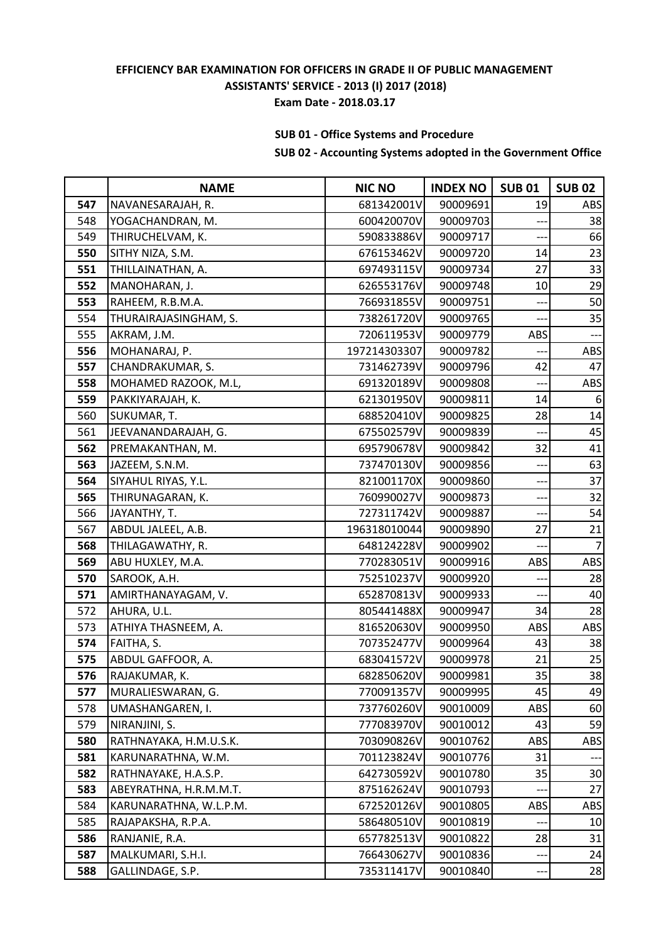# **SUB 01 - Office Systems and Procedure**

|     | <b>NAME</b>            | <b>NIC NO</b> | <b>INDEX NO</b> | <b>SUB01</b>             | <b>SUB 02</b> |
|-----|------------------------|---------------|-----------------|--------------------------|---------------|
| 547 | NAVANESARAJAH, R.      | 681342001V    | 90009691        | 19                       | ABS           |
| 548 | YOGACHANDRAN, M.       | 600420070V    | 90009703        |                          | 38            |
| 549 | THIRUCHELVAM, K.       | 590833886V    | 90009717        |                          | 66            |
| 550 | SITHY NIZA, S.M.       | 676153462V    | 90009720        | 14                       | 23            |
| 551 | THILLAINATHAN, A.      | 697493115V    | 90009734        | 27                       | 33            |
| 552 | MANOHARAN, J.          | 626553176V    | 90009748        | 10                       | 29            |
| 553 | RAHEEM, R.B.M.A.       | 766931855V    | 90009751        |                          | 50            |
| 554 | THURAIRAJASINGHAM, S.  | 738261720V    | 90009765        |                          | 35            |
| 555 | AKRAM, J.M.            | 720611953V    | 90009779        | ABS                      |               |
| 556 | MOHANARAJ, P.          | 197214303307  | 90009782        | $---$                    | ABS           |
| 557 | CHANDRAKUMAR, S.       | 731462739V    | 90009796        | 42                       | 47            |
| 558 | MOHAMED RAZOOK, M.L,   | 691320189V    | 90009808        |                          | ABS           |
| 559 | PAKKIYARAJAH, K.       | 621301950V    | 90009811        | 14                       | 6             |
| 560 | SUKUMAR, T.            | 688520410V    | 90009825        | 28                       | 14            |
| 561 | JEEVANANDARAJAH, G.    | 675502579V    | 90009839        | $\overline{a}$           | 45            |
| 562 | PREMAKANTHAN, M.       | 695790678V    | 90009842        | 32                       | 41            |
| 563 | JAZEEM, S.N.M.         | 737470130V    | 90009856        | ---                      | 63            |
| 564 | SIYAHUL RIYAS, Y.L.    | 821001170X    | 90009860        | ——-                      | 37            |
| 565 | THIRUNAGARAN, K.       | 760990027V    | 90009873        | $\overline{\phantom{a}}$ | 32            |
| 566 | JAYANTHY, T.           | 727311742V    | 90009887        |                          | 54            |
| 567 | ABDUL JALEEL, A.B.     | 196318010044  | 90009890        | 27                       | 21            |
| 568 | THILAGAWATHY, R.       | 648124228V    | 90009902        |                          | 7             |
| 569 | ABU HUXLEY, M.A.       | 770283051V    | 90009916        | ABS                      | ABS           |
| 570 | SAROOK, A.H.           | 752510237V    | 90009920        | ---                      | 28            |
| 571 | AMIRTHANAYAGAM, V.     | 652870813V    | 90009933        |                          | 40            |
| 572 | AHURA, U.L.            | 805441488X    | 90009947        | 34                       | 28            |
| 573 | ATHIYA THASNEEM, A.    | 816520630V    | 90009950        | ABS                      | ABS           |
| 574 | FAITHA, S.             | 707352477V    | 90009964        | 43                       | 38            |
| 575 | ABDUL GAFFOOR, A.      | 683041572V    | 90009978        | 21                       | 25            |
| 576 | RAJAKUMAR, K.          | 682850620V    | 90009981        | 35                       | 38            |
| 577 | MURALIESWARAN, G.      | 770091357V    | 90009995        | 45                       | 49            |
| 578 | UMASHANGAREN, I.       | 737760260V    | 90010009        | ABS                      | 60            |
| 579 | NIRANJINI, S.          | 777083970V    | 90010012        | 43                       | 59            |
| 580 | RATHNAYAKA, H.M.U.S.K. | 703090826V    | 90010762        | ABS                      | <b>ABS</b>    |
| 581 | KARUNARATHNA, W.M.     | 701123824V    | 90010776        | 31                       |               |
| 582 | RATHNAYAKE, H.A.S.P.   | 642730592V    | 90010780        | 35                       | 30            |
| 583 | ABEYRATHNA, H.R.M.M.T. | 875162624V    | 90010793        |                          | 27            |
| 584 | KARUNARATHNA, W.L.P.M. | 672520126V    | 90010805        | ABS                      | ABS           |
| 585 | RAJAPAKSHA, R.P.A.     | 586480510V    | 90010819        |                          | 10            |
| 586 | RANJANIE, R.A.         | 657782513V    | 90010822        | 28                       | 31            |
| 587 | MALKUMARI, S.H.I.      | 766430627V    | 90010836        | $--$                     | 24            |
| 588 | GALLINDAGE, S.P.       | 735311417V    | 90010840        | ---                      | 28            |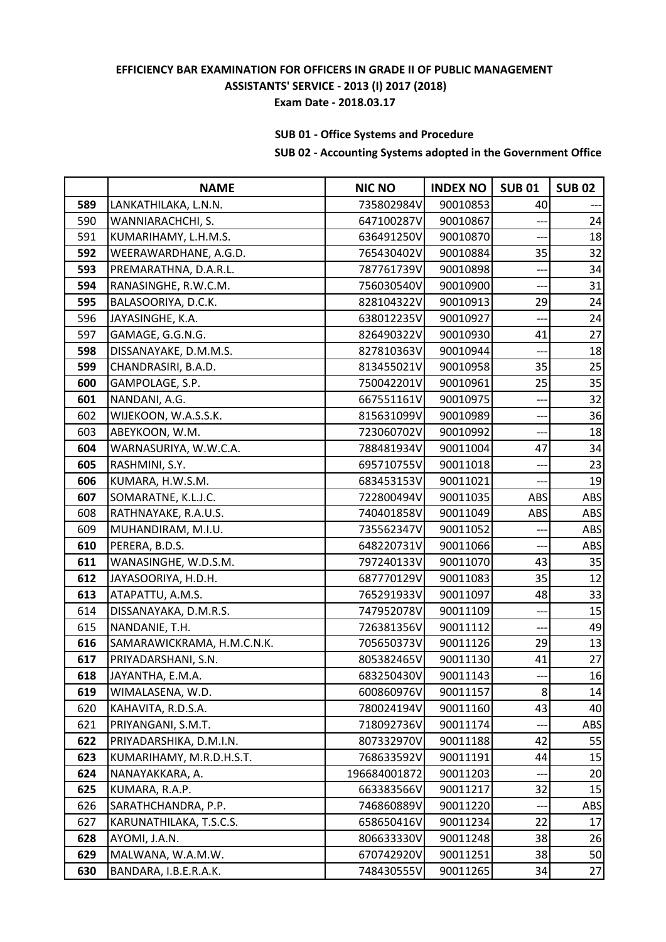# **SUB 01 - Office Systems and Procedure**

|     | <b>NAME</b>                | <b>NIC NO</b> | <b>INDEX NO</b> | <b>SUB01</b> | <b>SUB 02</b> |
|-----|----------------------------|---------------|-----------------|--------------|---------------|
| 589 | LANKATHILAKA, L.N.N.       | 735802984V    | 90010853        | 40           |               |
| 590 | WANNIARACHCHI, S.          | 647100287V    | 90010867        |              | 24            |
| 591 | KUMARIHAMY, L.H.M.S.       | 636491250V    | 90010870        | ---          | 18            |
| 592 | WEERAWARDHANE, A.G.D.      | 765430402V    | 90010884        | 35           | 32            |
| 593 | PREMARATHNA, D.A.R.L.      | 787761739V    | 90010898        | ---          | 34            |
| 594 | RANASINGHE, R.W.C.M.       | 756030540V    | 90010900        | ---          | 31            |
| 595 | BALASOORIYA, D.C.K.        | 828104322V    | 90010913        | 29           | 24            |
| 596 | JAYASINGHE, K.A.           | 638012235V    | 90010927        | ---          | 24            |
| 597 | GAMAGE, G.G.N.G.           | 826490322V    | 90010930        | 41           | 27            |
| 598 | DISSANAYAKE, D.M.M.S.      | 827810363V    | 90010944        | ---          | 18            |
| 599 | CHANDRASIRI, B.A.D.        | 813455021V    | 90010958        | 35           | 25            |
| 600 | GAMPOLAGE, S.P.            | 750042201V    | 90010961        | 25           | 35            |
| 601 | NANDANI, A.G.              | 667551161V    | 90010975        |              | 32            |
| 602 | WIJEKOON, W.A.S.S.K.       | 815631099V    | 90010989        |              | 36            |
| 603 | ABEYKOON, W.M.             | 723060702V    | 90010992        |              | 18            |
| 604 | WARNASURIYA, W.W.C.A.      | 788481934V    | 90011004        | 47           | 34            |
| 605 | RASHMINI, S.Y.             | 695710755V    | 90011018        | --           | 23            |
| 606 | KUMARA, H.W.S.M.           | 683453153V    | 90011021        | ---          | 19            |
| 607 | SOMARATNE, K.L.J.C.        | 722800494V    | 90011035        | ABS          | ABS           |
| 608 | RATHNAYAKE, R.A.U.S.       | 740401858V    | 90011049        | ABS          | <b>ABS</b>    |
| 609 | MUHANDIRAM, M.I.U.         | 735562347V    | 90011052        |              | <b>ABS</b>    |
| 610 | PERERA, B.D.S.             | 648220731V    | 90011066        | $---$        | <b>ABS</b>    |
| 611 | WANASINGHE, W.D.S.M.       | 797240133V    | 90011070        | 43           | 35            |
| 612 | JAYASOORIYA, H.D.H.        | 687770129V    | 90011083        | 35           | 12            |
| 613 | ATAPATTU, A.M.S.           | 765291933V    | 90011097        | 48           | 33            |
| 614 | DISSANAYAKA, D.M.R.S.      | 747952078V    | 90011109        | ——-          | 15            |
| 615 | NANDANIE, T.H.             | 726381356V    | 90011112        | ---          | 49            |
| 616 | SAMARAWICKRAMA, H.M.C.N.K. | 705650373V    | 90011126        | 29           | 13            |
| 617 | PRIYADARSHANI, S.N.        | 805382465V    | 90011130        | 41           | 27            |
| 618 | JAYANTHA, E.M.A.           | 683250430V    | 90011143        |              | 16            |
| 619 | WIMALASENA, W.D.           | 600860976V    | 90011157        | 8            | 14            |
| 620 | KAHAVITA, R.D.S.A.         | 780024194V    | 90011160        | 43           | 40            |
| 621 | PRIYANGANI, S.M.T.         | 718092736V    | 90011174        |              | <b>ABS</b>    |
| 622 | PRIYADARSHIKA, D.M.I.N.    | 807332970V    | 90011188        | 42           | 55            |
| 623 | KUMARIHAMY, M.R.D.H.S.T.   | 768633592V    | 90011191        | 44           | 15            |
| 624 | NANAYAKKARA, A.            | 196684001872  | 90011203        | ——-          | 20            |
| 625 | KUMARA, R.A.P.             | 663383566V    | 90011217        | 32           | 15            |
| 626 | SARATHCHANDRA, P.P.        | 746860889V    | 90011220        |              | ABS           |
| 627 | KARUNATHILAKA, T.S.C.S.    | 658650416V    | 90011234        | 22           | 17            |
| 628 | AYOMI, J.A.N.              | 806633330V    | 90011248        | 38           | 26            |
| 629 | MALWANA, W.A.M.W.          | 670742920V    | 90011251        | 38           | 50            |
| 630 | BANDARA, I.B.E.R.A.K.      | 748430555V    | 90011265        | 34           | 27            |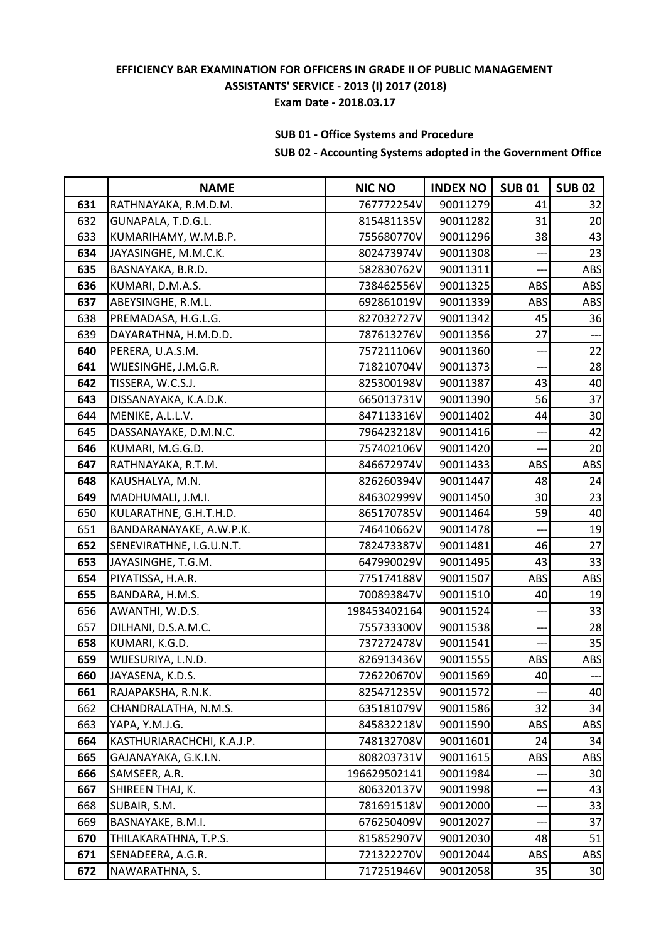# **SUB 01 - Office Systems and Procedure**

|     | <b>NAME</b>                | <b>NIC NO</b> | <b>INDEX NO</b> | <b>SUB01</b> | <b>SUB 02</b> |
|-----|----------------------------|---------------|-----------------|--------------|---------------|
| 631 | RATHNAYAKA, R.M.D.M.       | 767772254V    | 90011279        | 41           | 32            |
| 632 | GUNAPALA, T.D.G.L.         | 815481135V    | 90011282        | 31           | 20            |
| 633 | KUMARIHAMY, W.M.B.P.       | 755680770V    | 90011296        | 38           | 43            |
| 634 | JAYASINGHE, M.M.C.K.       | 802473974V    | 90011308        |              | 23            |
| 635 | BASNAYAKA, B.R.D.          | 582830762V    | 90011311        | $---$        | ABS           |
| 636 | KUMARI, D.M.A.S.           | 738462556V    | 90011325        | ABS          | <b>ABS</b>    |
| 637 | ABEYSINGHE, R.M.L.         | 692861019V    | 90011339        | ABS          | <b>ABS</b>    |
| 638 | PREMADASA, H.G.L.G.        | 827032727V    | 90011342        | 45           | 36            |
| 639 | DAYARATHNA, H.M.D.D.       | 787613276V    | 90011356        | 27           | ---           |
| 640 | PERERA, U.A.S.M.           | 757211106V    | 90011360        | ---          | 22            |
| 641 | WIJESINGHE, J.M.G.R.       | 718210704V    | 90011373        | ---          | 28            |
| 642 | TISSERA, W.C.S.J.          | 825300198V    | 90011387        | 43           | 40            |
| 643 | DISSANAYAKA, K.A.D.K.      | 665013731V    | 90011390        | 56           | 37            |
| 644 | MENIKE, A.L.L.V.           | 847113316V    | 90011402        | 44           | 30            |
| 645 | DASSANAYAKE, D.M.N.C.      | 796423218V    | 90011416        | ---          | 42            |
| 646 | KUMARI, M.G.G.D.           | 757402106V    | 90011420        | ---          | 20            |
| 647 | RATHNAYAKA, R.T.M.         | 846672974V    | 90011433        | ABS          | ABS           |
| 648 | KAUSHALYA, M.N.            | 826260394V    | 90011447        | 48           | 24            |
| 649 | MADHUMALI, J.M.I.          | 846302999V    | 90011450        | 30           | 23            |
| 650 | KULARATHNE, G.H.T.H.D.     | 865170785V    | 90011464        | 59           | 40            |
| 651 | BANDARANAYAKE, A.W.P.K.    | 746410662V    | 90011478        |              | 19            |
| 652 | SENEVIRATHNE, I.G.U.N.T.   | 782473387V    | 90011481        | 46           | 27            |
| 653 | JAYASINGHE, T.G.M.         | 647990029V    | 90011495        | 43           | 33            |
| 654 | PIYATISSA, H.A.R.          | 775174188V    | 90011507        | ABS          | ABS           |
| 655 | BANDARA, H.M.S.            | 700893847V    | 90011510        | 40           | 19            |
| 656 | AWANTHI, W.D.S.            | 198453402164  | 90011524        | ---          | 33            |
| 657 | DILHANI, D.S.A.M.C.        | 755733300V    | 90011538        |              | 28            |
| 658 | KUMARI, K.G.D.             | 737272478V    | 90011541        | ---          | 35            |
| 659 | WIJESURIYA, L.N.D.         | 826913436V    | 90011555        | ABS          | ABS           |
| 660 | JAYASENA, K.D.S.           | 726220670V    | 90011569        | 40           |               |
| 661 | RAJAPAKSHA, R.N.K.         | 825471235V    | 90011572        |              | 40            |
| 662 | CHANDRALATHA, N.M.S.       | 635181079V    | 90011586        | 32           | 34            |
| 663 | YAPA, Y.M.J.G.             | 845832218V    | 90011590        | ABS          | ABS           |
| 664 | KASTHURIARACHCHI, K.A.J.P. | 748132708V    | 90011601        | 24           | 34            |
| 665 | GAJANAYAKA, G.K.I.N.       | 808203731V    | 90011615        | ABS          | <b>ABS</b>    |
| 666 | SAMSEER, A.R.              | 196629502141  | 90011984        | --           | 30            |
| 667 | SHIREEN THAJ, K.           | 806320137V    | 90011998        |              | 43            |
| 668 | SUBAIR, S.M.               | 781691518V    | 90012000        |              | 33            |
| 669 | BASNAYAKE, B.M.I.          | 676250409V    | 90012027        |              | 37            |
| 670 | THILAKARATHNA, T.P.S.      | 815852907V    | 90012030        | 48           | 51            |
| 671 | SENADEERA, A.G.R.          | 721322270V    | 90012044        | ABS          | <b>ABS</b>    |
| 672 | NAWARATHNA, S.             | 717251946V    | 90012058        | 35           | 30            |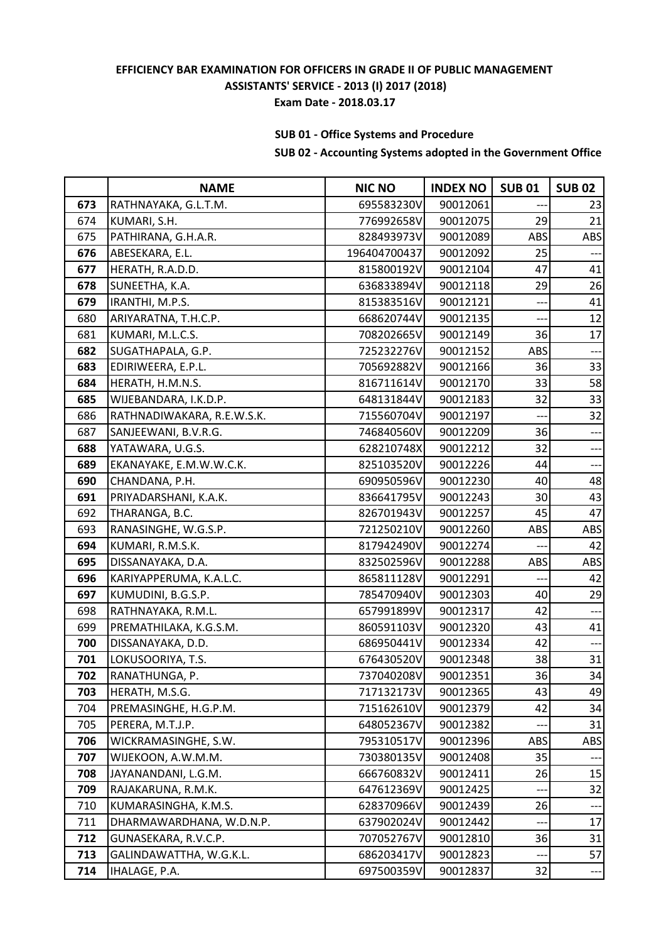# **SUB 01 - Office Systems and Procedure**

|     | <b>NAME</b>                | <b>NIC NO</b> | <b>INDEX NO</b> | <b>SUB01</b> | <b>SUB 02</b>  |
|-----|----------------------------|---------------|-----------------|--------------|----------------|
| 673 | RATHNAYAKA, G.L.T.M.       | 695583230V    | 90012061        |              | 23             |
| 674 | KUMARI, S.H.               | 776992658V    | 90012075        | 29           | 21             |
| 675 | PATHIRANA, G.H.A.R.        | 828493973V    | 90012089        | ABS          | ABS            |
| 676 | ABESEKARA, E.L.            | 196404700437  | 90012092        | 25           |                |
| 677 | HERATH, R.A.D.D.           | 815800192V    | 90012104        | 47           | 41             |
| 678 | SUNEETHA, K.A.             | 636833894V    | 90012118        | 29           | 26             |
| 679 | IRANTHI, M.P.S.            | 815383516V    | 90012121        |              | 41             |
| 680 | ARIYARATNA, T.H.C.P.       | 668620744V    | 90012135        |              | 12             |
| 681 | KUMARI, M.L.C.S.           | 708202665V    | 90012149        | 36           | 17             |
| 682 | SUGATHAPALA, G.P.          | 725232276V    | 90012152        | ABS          | $---$          |
| 683 | EDIRIWEERA, E.P.L.         | 705692882V    | 90012166        | 36           | 33             |
| 684 | HERATH, H.M.N.S.           | 816711614V    | 90012170        | 33           | 58             |
| 685 | WIJEBANDARA, I.K.D.P.      | 648131844V    | 90012183        | 32           | 33             |
| 686 | RATHNADIWAKARA, R.E.W.S.K. | 715560704V    | 90012197        |              | 32             |
| 687 | SANJEEWANI, B.V.R.G.       | 746840560V    | 90012209        | 36           | $---$          |
| 688 | YATAWARA, U.G.S.           | 628210748X    | 90012212        | 32           | ---            |
| 689 | EKANAYAKE, E.M.W.W.C.K.    | 825103520V    | 90012226        | 44           | ---            |
| 690 | CHANDANA, P.H.             | 690950596V    | 90012230        | 40           | 48             |
| 691 | PRIYADARSHANI, K.A.K.      | 836641795V    | 90012243        | 30           | 43             |
| 692 | THARANGA, B.C.             | 826701943V    | 90012257        | 45           | 47             |
| 693 | RANASINGHE, W.G.S.P.       | 721250210V    | 90012260        | ABS          | ABS            |
| 694 | KUMARI, R.M.S.K.           | 817942490V    | 90012274        |              | 42             |
| 695 | DISSANAYAKA, D.A.          | 832502596V    | 90012288        | ABS          | ABS            |
| 696 | KARIYAPPERUMA, K.A.L.C.    | 865811128V    | 90012291        | ---          | 42             |
| 697 | KUMUDINI, B.G.S.P.         | 785470940V    | 90012303        | 40           | 29             |
| 698 | RATHNAYAKA, R.M.L.         | 657991899V    | 90012317        | 42           |                |
| 699 | PREMATHILAKA, K.G.S.M.     | 860591103V    | 90012320        | 43           | 41             |
| 700 | DISSANAYAKA, D.D.          | 686950441V    | 90012334        | 42           | $\overline{a}$ |
| 701 | LOKUSOORIYA, T.S.          | 676430520V    | 90012348        | 38           | 31             |
| 702 | RANATHUNGA, P.             | 737040208V    | 90012351        | 36           | 34             |
| 703 | HERATH, M.S.G.             | 717132173V    | 90012365        | 43           | 49             |
| 704 | PREMASINGHE, H.G.P.M.      | 715162610V    | 90012379        | 42           | 34             |
| 705 | PERERA, M.T.J.P.           | 648052367V    | 90012382        |              | 31             |
| 706 | WICKRAMASINGHE, S.W.       | 795310517V    | 90012396        | ABS          | <b>ABS</b>     |
| 707 | WIJEKOON, A.W.M.M.         | 730380135V    | 90012408        | 35           |                |
| 708 | JAYANANDANI, L.G.M.        | 666760832V    | 90012411        | 26           | 15             |
| 709 | RAJAKARUNA, R.M.K.         | 647612369V    | 90012425        |              | 32             |
| 710 | KUMARASINGHA, K.M.S.       | 628370966V    | 90012439        | 26           |                |
| 711 | DHARMAWARDHANA, W.D.N.P.   | 637902024V    | 90012442        | ---          | 17             |
| 712 | GUNASEKARA, R.V.C.P.       | 707052767V    | 90012810        | 36           | 31             |
| 713 | GALINDAWATTHA, W.G.K.L.    | 686203417V    | 90012823        | ---          | 57             |
| 714 | IHALAGE, P.A.              | 697500359V    | 90012837        | 32           | ---            |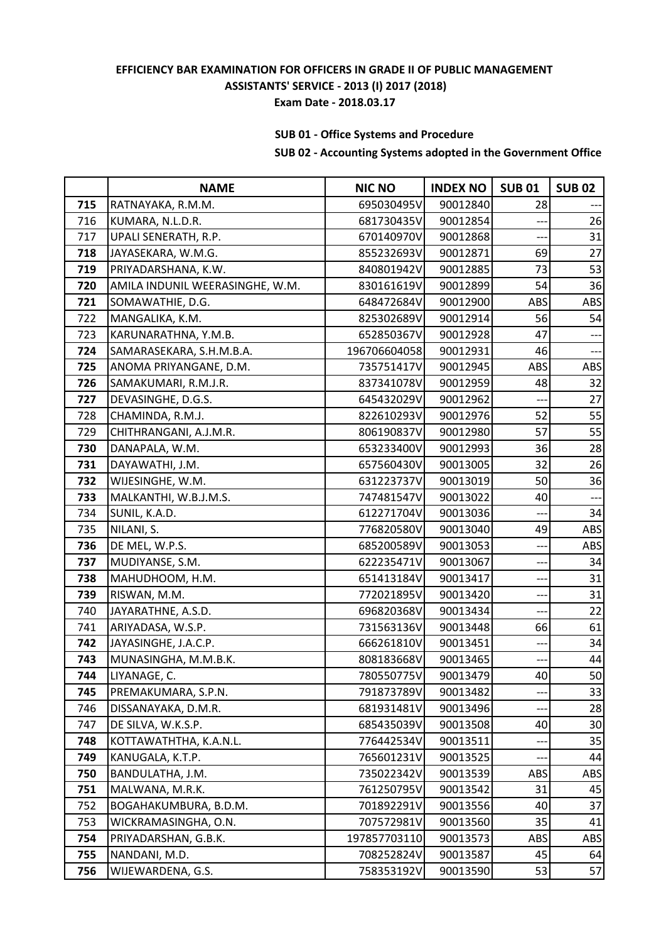# **SUB 01 - Office Systems and Procedure**

|     | <b>NAME</b>                     | <b>NIC NO</b> | <b>INDEX NO</b> | <b>SUB01</b> | <b>SUB 02</b> |
|-----|---------------------------------|---------------|-----------------|--------------|---------------|
| 715 | RATNAYAKA, R.M.M.               | 695030495V    | 90012840        | 28           |               |
| 716 | KUMARA, N.L.D.R.                | 681730435V    | 90012854        |              | 26            |
| 717 | UPALI SENERATH, R.P.            | 670140970V    | 90012868        |              | 31            |
| 718 | JAYASEKARA, W.M.G.              | 855232693V    | 90012871        | 69           | 27            |
| 719 | PRIYADARSHANA, K.W.             | 840801942V    | 90012885        | 73           | 53            |
| 720 | AMILA INDUNIL WEERASINGHE, W.M. | 830161619V    | 90012899        | 54           | 36            |
| 721 | SOMAWATHIE, D.G.                | 648472684V    | 90012900        | ABS          | <b>ABS</b>    |
| 722 | MANGALIKA, K.M.                 | 825302689V    | 90012914        | 56           | 54            |
| 723 | KARUNARATHNA, Y.M.B.            | 652850367V    | 90012928        | 47           |               |
| 724 | SAMARASEKARA, S.H.M.B.A.        | 196706604058  | 90012931        | 46           | ---           |
| 725 | ANOMA PRIYANGANE, D.M.          | 735751417V    | 90012945        | ABS          | <b>ABS</b>    |
| 726 | SAMAKUMARI, R.M.J.R.            | 837341078V    | 90012959        | 48           | 32            |
| 727 | DEVASINGHE, D.G.S.              | 645432029V    | 90012962        |              | 27            |
| 728 | CHAMINDA, R.M.J.                | 822610293V    | 90012976        | 52           | 55            |
| 729 | CHITHRANGANI, A.J.M.R.          | 806190837V    | 90012980        | 57           | 55            |
| 730 | DANAPALA, W.M.                  | 653233400V    | 90012993        | 36           | 28            |
| 731 | DAYAWATHI, J.M.                 | 657560430V    | 90013005        | 32           | 26            |
| 732 | WIJESINGHE, W.M.                | 631223737V    | 90013019        | 50           | 36            |
| 733 | MALKANTHI, W.B.J.M.S.           | 747481547V    | 90013022        | 40           | ---           |
| 734 | SUNIL, K.A.D.                   | 612271704V    | 90013036        | ---          | 34            |
| 735 | NILANI, S.                      | 776820580V    | 90013040        | 49           | ABS           |
| 736 | DE MEL, W.P.S.                  | 685200589V    | 90013053        | ---          | ABS           |
| 737 | MUDIYANSE, S.M.                 | 622235471V    | 90013067        | ---          | 34            |
| 738 | MAHUDHOOM, H.M.                 | 651413184V    | 90013417        | ---          | 31            |
| 739 | RISWAN, M.M.                    | 772021895V    | 90013420        | ---          | 31            |
| 740 | JAYARATHNE, A.S.D.              | 696820368V    | 90013434        |              | 22            |
| 741 | ARIYADASA, W.S.P.               | 731563136V    | 90013448        | 66           | 61            |
| 742 | JAYASINGHE, J.A.C.P.            | 666261810V    | 90013451        | ---          | 34            |
| 743 | MUNASINGHA, M.M.B.K.            | 808183668V    | 90013465        | ---          | 44            |
| 744 | LIYANAGE, C.                    | 780550775V    | 90013479        | 40           | 50            |
| 745 | PREMAKUMARA, S.P.N.             | 791873789V    | 90013482        |              | 33            |
| 746 | DISSANAYAKA, D.M.R.             | 681931481V    | 90013496        |              | 28            |
| 747 | DE SILVA, W.K.S.P.              | 685435039V    | 90013508        | 40           | 30            |
| 748 | KOTTAWATHTHA, K.A.N.L.          | 776442534V    | 90013511        | $---$        | 35            |
| 749 | KANUGALA, K.T.P.                | 765601231V    | 90013525        |              | 44            |
| 750 | BANDULATHA, J.M.                | 735022342V    | 90013539        | ABS          | ABS           |
| 751 | MALWANA, M.R.K.                 | 761250795V    | 90013542        | 31           | 45            |
| 752 | BOGAHAKUMBURA, B.D.M.           | 701892291V    | 90013556        | 40           | 37            |
| 753 | WICKRAMASINGHA, O.N.            | 707572981V    | 90013560        | 35           | 41            |
| 754 | PRIYADARSHAN, G.B.K.            | 197857703110  | 90013573        | ABS          | ABS           |
| 755 | NANDANI, M.D.                   | 708252824V    | 90013587        | 45           | 64            |
| 756 | WIJEWARDENA, G.S.               | 758353192V    | 90013590        | 53           | 57            |